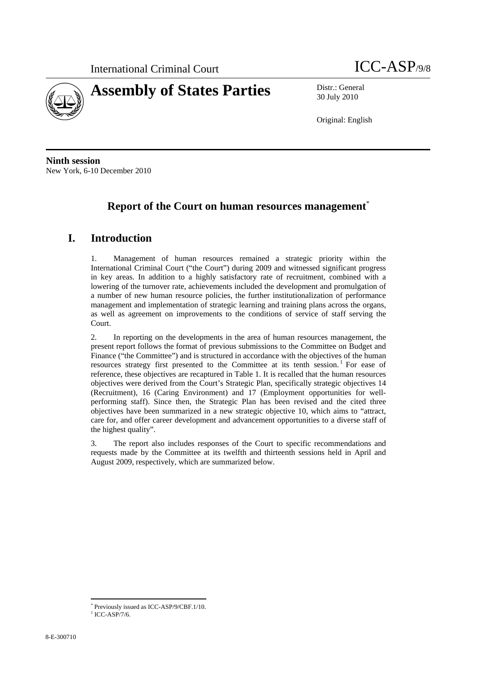

30 July 2010

Original: English

**Ninth session**  New York, 6-10 December 2010

# **Report of the Court on human resources management**\*

# **I. Introduction**

1. Management of human resources remained a strategic priority within the International Criminal Court ("the Court") during 2009 and witnessed significant progress in key areas. In addition to a highly satisfactory rate of recruitment, combined with a lowering of the turnover rate, achievements included the development and promulgation of a number of new human resource policies, the further institutionalization of performance management and implementation of strategic learning and training plans across the organs, as well as agreement on improvements to the conditions of service of staff serving the Court.

2. In reporting on the developments in the area of human resources management, the present report follows the format of previous submissions to the Committee on Budget and Finance ("the Committee") and is structured in accordance with the objectives of the human resources strategy first presented to the Committee at its tenth session.<sup>1</sup> For ease of reference, these objectives are recaptured in Table 1. It is recalled that the human resources objectives were derived from the Court's Strategic Plan, specifically strategic objectives 14 (Recruitment), 16 (Caring Environment) and 17 (Employment opportunities for wellperforming staff). Since then, the Strategic Plan has been revised and the cited three objectives have been summarized in a new strategic objective 10, which aims to "attract, care for, and offer career development and advancement opportunities to a diverse staff of the highest quality".

3. The report also includes responses of the Court to specific recommendations and requests made by the Committee at its twelfth and thirteenth sessions held in April and August 2009, respectively, which are summarized below.

<sup>\*</sup> Previously issued as ICC-ASP/9/CBF.1/10.

 $1$  ICC-ASP/7/6.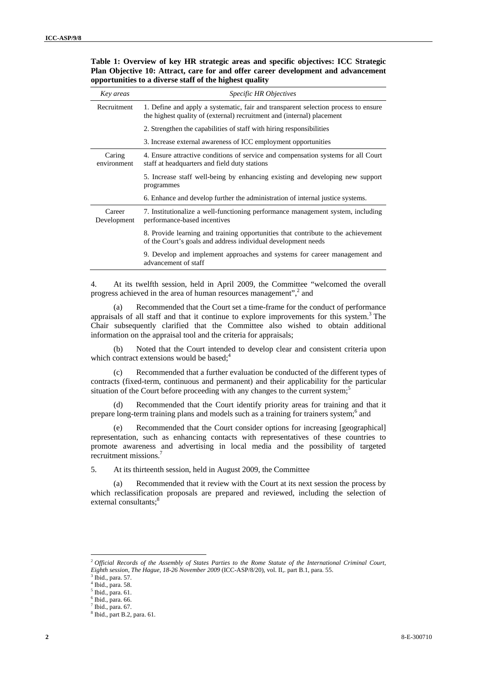| Key areas             | <i>Specific HR Objectives</i>                                                                                                                                |
|-----------------------|--------------------------------------------------------------------------------------------------------------------------------------------------------------|
| Recruitment           | 1. Define and apply a systematic, fair and transparent selection process to ensure<br>the highest quality of (external) recruitment and (internal) placement |
|                       | 2. Strengthen the capabilities of staff with hiring responsibilities                                                                                         |
|                       | 3. Increase external awareness of ICC employment opportunities                                                                                               |
| Caring<br>environment | 4. Ensure attractive conditions of service and compensation systems for all Court<br>staff at headquarters and field duty stations                           |
|                       | 5. Increase staff well-being by enhancing existing and developing new support<br>programmes                                                                  |
|                       | 6. Enhance and develop further the administration of internal justice systems.                                                                               |
| Career<br>Development | 7. Institutionalize a well-functioning performance management system, including<br>performance-based incentives                                              |
|                       | 8. Provide learning and training opportunities that contribute to the achievement<br>of the Court's goals and address individual development needs           |
|                       | 9. Develop and implement approaches and systems for career management and<br>advancement of staff                                                            |

**Table 1: Overview of key HR strategic areas and specific objectives: ICC Strategic Plan Objective 10: Attract, care for and offer career development and advancement opportunities to a diverse staff of the highest quality** 

4. At its twelfth session, held in April 2009, the Committee "welcomed the overall progress achieved in the area of human resources management",<sup>2</sup> and

(a) Recommended that the Court set a time-frame for the conduct of performance appraisals of all staff and that it continue to explore improvements for this system.<sup>3</sup> The Chair subsequently clarified that the Committee also wished to obtain additional information on the appraisal tool and the criteria for appraisals;

(b) Noted that the Court intended to develop clear and consistent criteria upon which contract extensions would be based: $4^4$ 

(c) Recommended that a further evaluation be conducted of the different types of contracts (fixed-term, continuous and permanent) and their applicability for the particular situation of the Court before proceeding with any changes to the current system;<sup>5</sup>

(d) Recommended that the Court identify priority areas for training and that it prepare long-term training plans and models such as a training for trainers system;<sup>6</sup> and

(e) Recommended that the Court consider options for increasing [geographical] representation, such as enhancing contacts with representatives of these countries to promote awareness and advertising in local media and the possibility of targeted recruitment missions.

5. At its thirteenth session, held in August 2009, the Committee

Recommended that it review with the Court at its next session the process by which reclassification proposals are prepared and reviewed, including the selection of external consultants:<sup>8</sup>

 $3$  Ibid., para. 57.

<sup>2</sup> *Official Records of the Assembly of States Parties to the Rome Statute of the International Criminal Court, Eighth session, The Hague, 18-26 November 2009* (ICC-ASP/8/20), vol. II,. part B.1, para. 55. 3

<sup>4</sup> Ibid., para. 58.

<sup>5</sup> Ibid., para. 61.

 $^6$  Ibid., para. 66.

Ibid., para. 67.

<sup>8</sup> Ibid., part B.2, para. 61.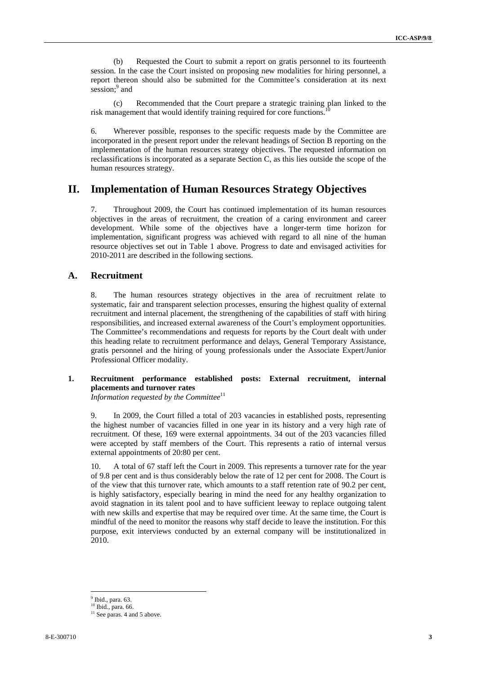(b) Requested the Court to submit a report on gratis personnel to its fourteenth session. In the case the Court insisted on proposing new modalities for hiring personnel, a report thereon should also be submitted for the Committee's consideration at its next session;<sup>9</sup> and

(c) Recommended that the Court prepare a strategic training plan linked to the risk management that would identify training required for core functions.

6. Wherever possible, responses to the specific requests made by the Committee are incorporated in the present report under the relevant headings of Section B reporting on the implementation of the human resources strategy objectives. The requested information on reclassifications is incorporated as a separate Section C, as this lies outside the scope of the human resources strategy.

## **II. Implementation of Human Resources Strategy Objectives**

7. Throughout 2009, the Court has continued implementation of its human resources objectives in the areas of recruitment, the creation of a caring environment and career development. While some of the objectives have a longer-term time horizon for implementation, significant progress was achieved with regard to all nine of the human resource objectives set out in Table 1 above. Progress to date and envisaged activities for 2010-2011 are described in the following sections.

## **A. Recruitment**

8. The human resources strategy objectives in the area of recruitment relate to systematic, fair and transparent selection processes, ensuring the highest quality of external recruitment and internal placement, the strengthening of the capabilities of staff with hiring responsibilities, and increased external awareness of the Court's employment opportunities. The Committee's recommendations and requests for reports by the Court dealt with under this heading relate to recruitment performance and delays, General Temporary Assistance, gratis personnel and the hiring of young professionals under the Associate Expert/Junior Professional Officer modality.

#### **1. Recruitment performance established posts: External recruitment, internal placements and turnover rates**

*Information requested by the Committee*<sup>11</sup>

9. In 2009, the Court filled a total of 203 vacancies in established posts, representing the highest number of vacancies filled in one year in its history and a very high rate of recruitment. Of these, 169 were external appointments. 34 out of the 203 vacancies filled were accepted by staff members of the Court. This represents a ratio of internal versus external appointments of 20:80 per cent.

10. A total of 67 staff left the Court in 2009. This represents a turnover rate for the year of 9.8 per cent and is thus considerably below the rate of 12 per cent for 2008. The Court is of the view that this turnover rate, which amounts to a staff retention rate of 90.2 per cent, is highly satisfactory, especially bearing in mind the need for any healthy organization to avoid stagnation in its talent pool and to have sufficient leeway to replace outgoing talent with new skills and expertise that may be required over time. At the same time, the Court is mindful of the need to monitor the reasons why staff decide to leave the institution. For this purpose, exit interviews conducted by an external company will be institutionalized in 2010.

 $<sup>9</sup>$  Ibid., para. 63.</sup>

<sup>&</sup>lt;sup>10</sup> Ibid., para. 66.

 $11$  See paras. 4 and 5 above.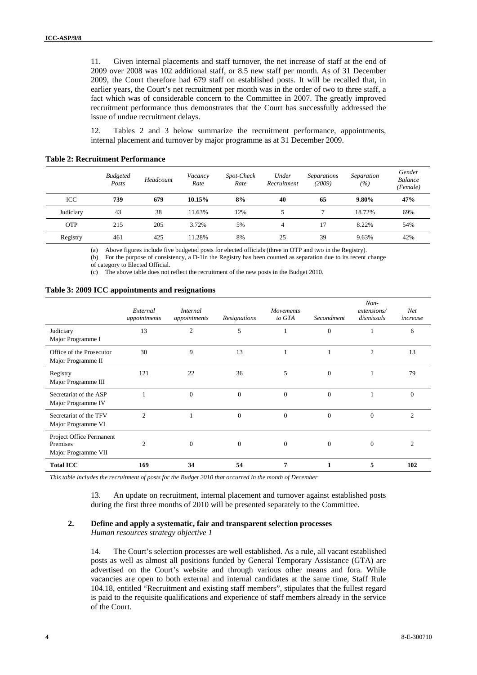11. Given internal placements and staff turnover, the net increase of staff at the end of 2009 over 2008 was 102 additional staff, or 8.5 new staff per month. As of 31 December 2009, the Court therefore had 679 staff on established posts. It will be recalled that, in earlier years, the Court's net recruitment per month was in the order of two to three staff, a fact which was of considerable concern to the Committee in 2007. The greatly improved recruitment performance thus demonstrates that the Court has successfully addressed the issue of undue recruitment delays.

12. Tables 2 and 3 below summarize the recruitment performance, appointments, internal placement and turnover by major programme as at 31 December 2009.

|  | <b>Table 2: Recruitment Performance</b> |
|--|-----------------------------------------|
|--|-----------------------------------------|

|            | <b>Budgeted</b><br>Posts | Headcount | Vacancy<br>Rate | Spot-Check<br>Rate | Under<br>Recruitment | <i>Separations</i><br>(2009) | Separation<br>(%) | Gender<br><b>Balance</b><br>(Female) |
|------------|--------------------------|-----------|-----------------|--------------------|----------------------|------------------------------|-------------------|--------------------------------------|
| ICC        | 739                      | 679       | 10.15%          | 8%                 | 40                   | 65                           | $9.80\%$          | 47%                                  |
| Judiciary  | 43                       | 38        | 11.63%          | 12%                |                      |                              | 18.72%            | 69%                                  |
| <b>OTP</b> | 215                      | 205       | 3.72%           | 5%                 | 4                    |                              | 8.22%             | 54%                                  |
| Registry   | 461                      | 425       | 11.28%          | 8%                 | 25                   | 39                           | 9.63%             | 42%                                  |

(a) Above figures include five budgeted posts for elected officials (three in OTP and two in the Registry).

(b) For the purpose of consistency, a D-1in the Registry has been counted as separation due to its recent change

of category to Elected Official.

(c) The above table does not reflect the recruitment of the new posts in the Budget 2010.

#### **Table 3: 2009 ICC appointments and resignations**

|                                                             | External<br>appointments | <i>Internal</i><br>appointments | Resignations     | Movements<br>to GTA | Secondment   | $Non-$<br>extensions/<br>dismissals | Net<br>increase |
|-------------------------------------------------------------|--------------------------|---------------------------------|------------------|---------------------|--------------|-------------------------------------|-----------------|
| Judiciary<br>Major Programme I                              | 13                       | $\mathfrak{2}$                  | 5                |                     | $\mathbf{0}$ | 1                                   | 6               |
| Office of the Prosecutor<br>Major Programme II              | 30                       | 9                               | 13               |                     |              | $\overline{c}$                      | 13              |
| Registry<br>Major Programme III                             | 121                      | 22                              | 36               | 5                   | $\Omega$     | 1                                   | 79              |
| Secretariat of the ASP<br>Major Programme IV                |                          | $\mathbf{0}$                    | $\boldsymbol{0}$ | $\mathbf{0}$        | $\mathbf{0}$ | 1                                   | $\mathbf{0}$    |
| Secretariat of the TFV<br>Major Programme VI                | $\overline{c}$           |                                 | $\Omega$         | $\overline{0}$      | $\Omega$     | $\Omega$                            | $\overline{c}$  |
| Project Office Permanent<br>Premises<br>Major Programme VII | $\overline{c}$           | $\theta$                        | $\theta$         | $\overline{0}$      | $\Omega$     | $\theta$                            | $\overline{c}$  |
| <b>Total ICC</b>                                            | 169                      | 34                              | 54               | $\overline{7}$      |              | 5                                   | 102             |

*This table includes the recruitment of posts for the Budget 2010 that occurred in the month of December* 

13. An update on recruitment, internal placement and turnover against established posts during the first three months of 2010 will be presented separately to the Committee.

# **2. Define and apply a systematic, fair and transparent selection processes**

*Human resources strategy objective 1* 

14. The Court's selection processes are well established. As a rule, all vacant established posts as well as almost all positions funded by General Temporary Assistance (GTA) are advertised on the Court's website and through various other means and fora. While vacancies are open to both external and internal candidates at the same time, Staff Rule 104.18, entitled "Recruitment and existing staff members", stipulates that the fullest regard is paid to the requisite qualifications and experience of staff members already in the service of the Court.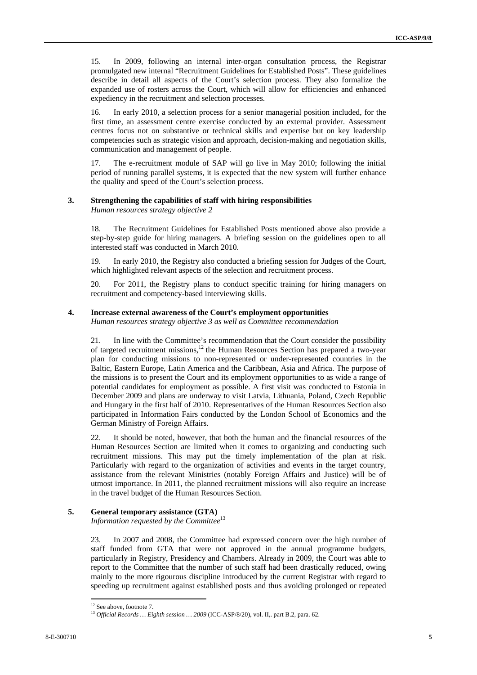15. In 2009, following an internal inter-organ consultation process, the Registrar promulgated new internal "Recruitment Guidelines for Established Posts". These guidelines describe in detail all aspects of the Court's selection process. They also formalize the expanded use of rosters across the Court, which will allow for efficiencies and enhanced expediency in the recruitment and selection processes.

16. In early 2010, a selection process for a senior managerial position included, for the first time, an assessment centre exercise conducted by an external provider. Assessment centres focus not on substantive or technical skills and expertise but on key leadership competencies such as strategic vision and approach, decision-making and negotiation skills, communication and management of people.

17. The e-recruitment module of SAP will go live in May 2010; following the initial period of running parallel systems, it is expected that the new system will further enhance the quality and speed of the Court's selection process.

#### **3. Strengthening the capabilities of staff with hiring responsibilities**

*Human resources strategy objective 2* 

18. The Recruitment Guidelines for Established Posts mentioned above also provide a step-by-step guide for hiring managers. A briefing session on the guidelines open to all interested staff was conducted in March 2010.

19. In early 2010, the Registry also conducted a briefing session for Judges of the Court, which highlighted relevant aspects of the selection and recruitment process.

20. For 2011, the Registry plans to conduct specific training for hiring managers on recruitment and competency-based interviewing skills.

#### **4. Increase external awareness of the Court's employment opportunities**

*Human resources strategy objective 3 as well as Committee recommendation* 

21. In line with the Committee's recommendation that the Court consider the possibility of targeted recruitment missions,<sup>12</sup> the Human Resources Section has prepared a two-year plan for conducting missions to non-represented or under-represented countries in the Baltic, Eastern Europe, Latin America and the Caribbean, Asia and Africa. The purpose of the missions is to present the Court and its employment opportunities to as wide a range of potential candidates for employment as possible. A first visit was conducted to Estonia in December 2009 and plans are underway to visit Latvia, Lithuania, Poland, Czech Republic and Hungary in the first half of 2010. Representatives of the Human Resources Section also participated in Information Fairs conducted by the London School of Economics and the German Ministry of Foreign Affairs.

22. It should be noted, however, that both the human and the financial resources of the Human Resources Section are limited when it comes to organizing and conducting such recruitment missions. This may put the timely implementation of the plan at risk. Particularly with regard to the organization of activities and events in the target country, assistance from the relevant Ministries (notably Foreign Affairs and Justice) will be of utmost importance. In 2011, the planned recruitment missions will also require an increase in the travel budget of the Human Resources Section.

#### **5. General temporary assistance (GTA)**

*Information requested by the Committee*<sup>13</sup>

23. In 2007 and 2008, the Committee had expressed concern over the high number of staff funded from GTA that were not approved in the annual programme budgets, particularly in Registry, Presidency and Chambers. Already in 2009, the Court was able to report to the Committee that the number of such staff had been drastically reduced, owing mainly to the more rigourous discipline introduced by the current Registrar with regard to speeding up recruitment against established posts and thus avoiding prolonged or repeated

<sup>&</sup>lt;sup>12</sup> See above, footnote 7.

<sup>13</sup> *Official Records … Eighth session … 2009* (ICC-ASP/8/20), vol. II,. part B.2, para. 62.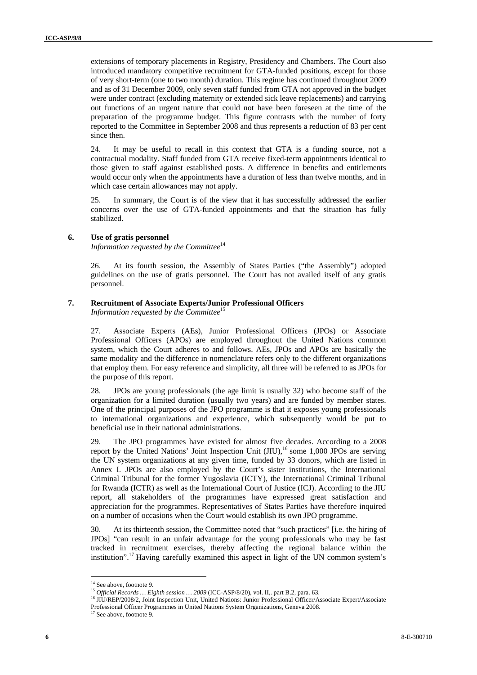extensions of temporary placements in Registry, Presidency and Chambers. The Court also introduced mandatory competitive recruitment for GTA-funded positions, except for those of very short-term (one to two month) duration. This regime has continued throughout 2009 and as of 31 December 2009, only seven staff funded from GTA not approved in the budget were under contract (excluding maternity or extended sick leave replacements) and carrying out functions of an urgent nature that could not have been foreseen at the time of the preparation of the programme budget. This figure contrasts with the number of forty reported to the Committee in September 2008 and thus represents a reduction of 83 per cent since then.

24. It may be useful to recall in this context that GTA is a funding source, not a contractual modality. Staff funded from GTA receive fixed-term appointments identical to those given to staff against established posts. A difference in benefits and entitlements would occur only when the appointments have a duration of less than twelve months, and in which case certain allowances may not apply.

25. In summary, the Court is of the view that it has successfully addressed the earlier concerns over the use of GTA-funded appointments and that the situation has fully stabilized.

#### **6. Use of gratis personnel**

*Information requested by the Committee*<sup>14</sup>

26. At its fourth session, the Assembly of States Parties ("the Assembly") adopted guidelines on the use of gratis personnel. The Court has not availed itself of any gratis personnel.

#### **7. Recruitment of Associate Experts/Junior Professional Officers**

*Information requested by the Committee*<sup>15</sup>

27. Associate Experts (AEs), Junior Professional Officers (JPOs) or Associate Professional Officers (APOs) are employed throughout the United Nations common system, which the Court adheres to and follows. AEs, JPOs and APOs are basically the same modality and the difference in nomenclature refers only to the different organizations that employ them. For easy reference and simplicity, all three will be referred to as JPOs for the purpose of this report.

28. JPOs are young professionals (the age limit is usually 32) who become staff of the organization for a limited duration (usually two years) and are funded by member states. One of the principal purposes of the JPO programme is that it exposes young professionals to international organizations and experience, which subsequently would be put to beneficial use in their national administrations.

29. The JPO programmes have existed for almost five decades. According to a 2008 report by the United Nations' Joint Inspection Unit  $(JIU)$ ,<sup>16</sup> some 1,000 JPOs are serving the UN system organizations at any given time, funded by 33 donors, which are listed in Annex I. JPOs are also employed by the Court's sister institutions, the International Criminal Tribunal for the former Yugoslavia (ICTY), the International Criminal Tribunal for Rwanda (ICTR) as well as the International Court of Justice (ICJ). According to the JIU report, all stakeholders of the programmes have expressed great satisfaction and appreciation for the programmes. Representatives of States Parties have therefore inquired on a number of occasions when the Court would establish its own JPO programme.

30. At its thirteenth session, the Committee noted that "such practices" [i.e. the hiring of JPOs] "can result in an unfair advantage for the young professionals who may be fast tracked in recruitment exercises, thereby affecting the regional balance within the institution".17 Having carefully examined this aspect in light of the UN common system's

<sup>&</sup>lt;sup>14</sup> See above, footnote 9.

<sup>15</sup> *Official Records … Eighth session … 2009* (ICC-ASP/8/20), vol. II,. part B.2, para. 63.<br><sup>16</sup> JIU/REP/2008/2, Joint Inspection Unit, United Nations: Junior Professional Officer/Associate Expert/Associate

Professional Officer Programmes in United Nations System Organizations, Geneva 2008. 17 See above, footnote 9.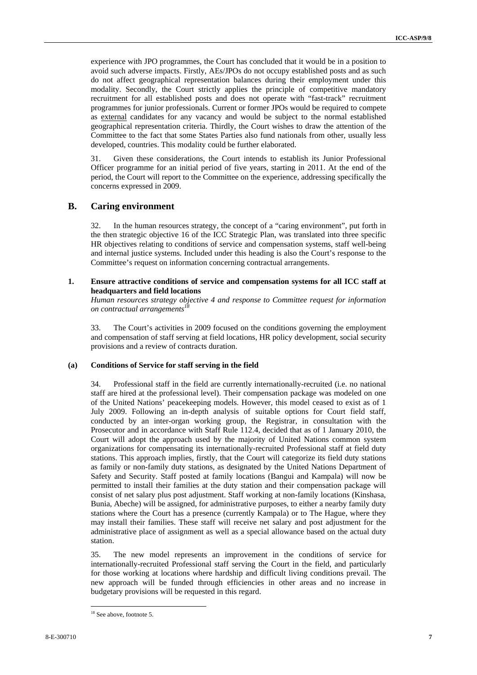experience with JPO programmes, the Court has concluded that it would be in a position to avoid such adverse impacts. Firstly, AEs/JPOs do not occupy established posts and as such do not affect geographical representation balances during their employment under this modality. Secondly, the Court strictly applies the principle of competitive mandatory recruitment for all established posts and does not operate with "fast-track" recruitment programmes for junior professionals. Current or former JPOs would be required to compete as external candidates for any vacancy and would be subject to the normal established geographical representation criteria. Thirdly, the Court wishes to draw the attention of the Committee to the fact that some States Parties also fund nationals from other, usually less developed, countries. This modality could be further elaborated.

31. Given these considerations, the Court intends to establish its Junior Professional Officer programme for an initial period of five years, starting in 2011. At the end of the period, the Court will report to the Committee on the experience, addressing specifically the concerns expressed in 2009.

## **B. Caring environment**

32. In the human resources strategy, the concept of a "caring environment", put forth in the then strategic objective 16 of the ICC Strategic Plan, was translated into three specific HR objectives relating to conditions of service and compensation systems, staff well-being and internal justice systems. Included under this heading is also the Court's response to the Committee's request on information concerning contractual arrangements.

#### **1. Ensure attractive conditions of service and compensation systems for all ICC staff at headquarters and field locations**

*Human resources strategy objective 4 and response to Committee request for information on contractual arrangements18*

33. The Court's activities in 2009 focused on the conditions governing the employment and compensation of staff serving at field locations, HR policy development, social security provisions and a review of contracts duration.

#### **(a) Conditions of Service for staff serving in the field**

34. Professional staff in the field are currently internationally-recruited (i.e. no national staff are hired at the professional level). Their compensation package was modeled on one of the United Nations' peacekeeping models. However, this model ceased to exist as of 1 July 2009. Following an in-depth analysis of suitable options for Court field staff, conducted by an inter-organ working group, the Registrar, in consultation with the Prosecutor and in accordance with Staff Rule 112.4, decided that as of 1 January 2010, the Court will adopt the approach used by the majority of United Nations common system organizations for compensating its internationally-recruited Professional staff at field duty stations. This approach implies, firstly, that the Court will categorize its field duty stations as family or non-family duty stations, as designated by the United Nations Department of Safety and Security. Staff posted at family locations (Bangui and Kampala) will now be permitted to install their families at the duty station and their compensation package will consist of net salary plus post adjustment. Staff working at non-family locations (Kinshasa, Bunia, Abeche) will be assigned, for administrative purposes, to either a nearby family duty stations where the Court has a presence (currently Kampala) or to The Hague, where they may install their families. These staff will receive net salary and post adjustment for the administrative place of assignment as well as a special allowance based on the actual duty station.

35. The new model represents an improvement in the conditions of service for internationally-recruited Professional staff serving the Court in the field, and particularly for those working at locations where hardship and difficult living conditions prevail. The new approach will be funded through efficiencies in other areas and no increase in budgetary provisions will be requested in this regard.

 $\overline{a}$ <sup>18</sup> See above, footnote 5.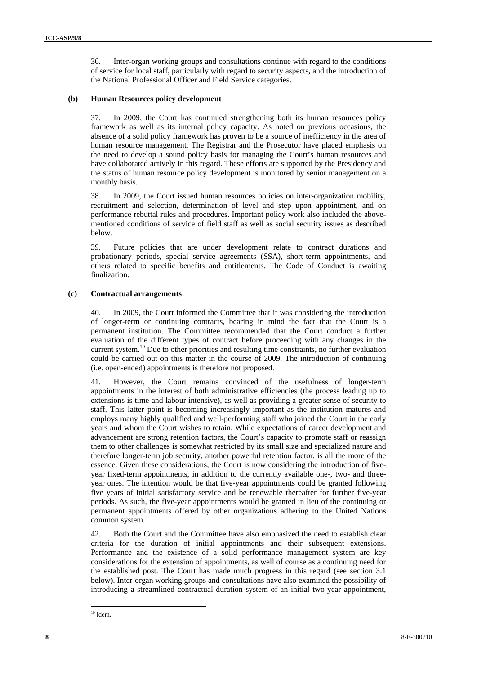36. Inter-organ working groups and consultations continue with regard to the conditions of service for local staff, particularly with regard to security aspects, and the introduction of the National Professional Officer and Field Service categories.

#### **(b) Human Resources policy development**

37. In 2009, the Court has continued strengthening both its human resources policy framework as well as its internal policy capacity. As noted on previous occasions, the absence of a solid policy framework has proven to be a source of inefficiency in the area of human resource management. The Registrar and the Prosecutor have placed emphasis on the need to develop a sound policy basis for managing the Court's human resources and have collaborated actively in this regard. These efforts are supported by the Presidency and the status of human resource policy development is monitored by senior management on a monthly basis.

38. In 2009, the Court issued human resources policies on inter-organization mobility, recruitment and selection, determination of level and step upon appointment, and on performance rebuttal rules and procedures. Important policy work also included the abovementioned conditions of service of field staff as well as social security issues as described below.

39. Future policies that are under development relate to contract durations and probationary periods, special service agreements (SSA), short-term appointments, and others related to specific benefits and entitlements. The Code of Conduct is awaiting finalization.

#### **(c) Contractual arrangements**

40. In 2009, the Court informed the Committee that it was considering the introduction of longer-term or continuing contracts, bearing in mind the fact that the Court is a permanent institution. The Committee recommended that the Court conduct a further evaluation of the different types of contract before proceeding with any changes in the current system.<sup>19</sup> Due to other priorities and resulting time constraints, no further evaluation could be carried out on this matter in the course of 2009. The introduction of continuing (i.e. open-ended) appointments is therefore not proposed.

41. However, the Court remains convinced of the usefulness of longer-term appointments in the interest of both administrative efficiencies (the process leading up to extensions is time and labour intensive), as well as providing a greater sense of security to staff. This latter point is becoming increasingly important as the institution matures and employs many highly qualified and well-performing staff who joined the Court in the early years and whom the Court wishes to retain. While expectations of career development and advancement are strong retention factors, the Court's capacity to promote staff or reassign them to other challenges is somewhat restricted by its small size and specialized nature and therefore longer-term job security, another powerful retention factor, is all the more of the essence. Given these considerations, the Court is now considering the introduction of fiveyear fixed-term appointments, in addition to the currently available one-, two- and threeyear ones. The intention would be that five-year appointments could be granted following five years of initial satisfactory service and be renewable thereafter for further five-year periods. As such, the five-year appointments would be granted in lieu of the continuing or permanent appointments offered by other organizations adhering to the United Nations common system.

42. Both the Court and the Committee have also emphasized the need to establish clear criteria for the duration of initial appointments and their subsequent extensions. Performance and the existence of a solid performance management system are key considerations for the extension of appointments, as well of course as a continuing need for the established post. The Court has made much progress in this regard (see section 3.1 below). Inter-organ working groups and consultations have also examined the possibility of introducing a streamlined contractual duration system of an initial two-year appointment,

 $\overline{a}$  $19$  Idem.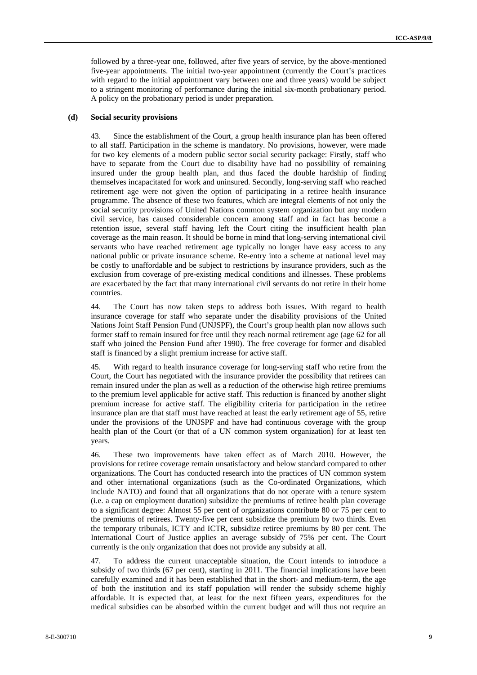followed by a three-year one, followed, after five years of service, by the above-mentioned five-year appointments. The initial two-year appointment (currently the Court's practices with regard to the initial appointment vary between one and three years) would be subject to a stringent monitoring of performance during the initial six-month probationary period. A policy on the probationary period is under preparation.

#### **(d) Social security provisions**

43. Since the establishment of the Court, a group health insurance plan has been offered to all staff. Participation in the scheme is mandatory. No provisions, however, were made for two key elements of a modern public sector social security package: Firstly, staff who have to separate from the Court due to disability have had no possibility of remaining insured under the group health plan, and thus faced the double hardship of finding themselves incapacitated for work and uninsured. Secondly, long-serving staff who reached retirement age were not given the option of participating in a retiree health insurance programme. The absence of these two features, which are integral elements of not only the social security provisions of United Nations common system organization but any modern civil service, has caused considerable concern among staff and in fact has become a retention issue, several staff having left the Court citing the insufficient health plan coverage as the main reason. It should be borne in mind that long-serving international civil servants who have reached retirement age typically no longer have easy access to any national public or private insurance scheme. Re-entry into a scheme at national level may be costly to unaffordable and be subject to restrictions by insurance providers, such as the exclusion from coverage of pre-existing medical conditions and illnesses. These problems are exacerbated by the fact that many international civil servants do not retire in their home countries.

44. The Court has now taken steps to address both issues. With regard to health insurance coverage for staff who separate under the disability provisions of the United Nations Joint Staff Pension Fund (UNJSPF), the Court's group health plan now allows such former staff to remain insured for free until they reach normal retirement age (age 62 for all staff who joined the Pension Fund after 1990). The free coverage for former and disabled staff is financed by a slight premium increase for active staff.

45. With regard to health insurance coverage for long-serving staff who retire from the Court, the Court has negotiated with the insurance provider the possibility that retirees can remain insured under the plan as well as a reduction of the otherwise high retiree premiums to the premium level applicable for active staff. This reduction is financed by another slight premium increase for active staff. The eligibility criteria for participation in the retiree insurance plan are that staff must have reached at least the early retirement age of 55, retire under the provisions of the UNJSPF and have had continuous coverage with the group health plan of the Court (or that of a UN common system organization) for at least ten years.

46. These two improvements have taken effect as of March 2010. However, the provisions for retiree coverage remain unsatisfactory and below standard compared to other organizations. The Court has conducted research into the practices of UN common system and other international organizations (such as the Co-ordinated Organizations, which include NATO) and found that all organizations that do not operate with a tenure system (i.e. a cap on employment duration) subsidize the premiums of retiree health plan coverage to a significant degree: Almost 55 per cent of organizations contribute 80 or 75 per cent to the premiums of retirees. Twenty-five per cent subsidize the premium by two thirds. Even the temporary tribunals, ICTY and ICTR, subsidize retiree premiums by 80 per cent. The International Court of Justice applies an average subsidy of 75% per cent. The Court currently is the only organization that does not provide any subsidy at all.

47. To address the current unacceptable situation, the Court intends to introduce a subsidy of two thirds (67 per cent), starting in 2011. The financial implications have been carefully examined and it has been established that in the short- and medium-term, the age of both the institution and its staff population will render the subsidy scheme highly affordable. It is expected that, at least for the next fifteen years, expenditures for the medical subsidies can be absorbed within the current budget and will thus not require an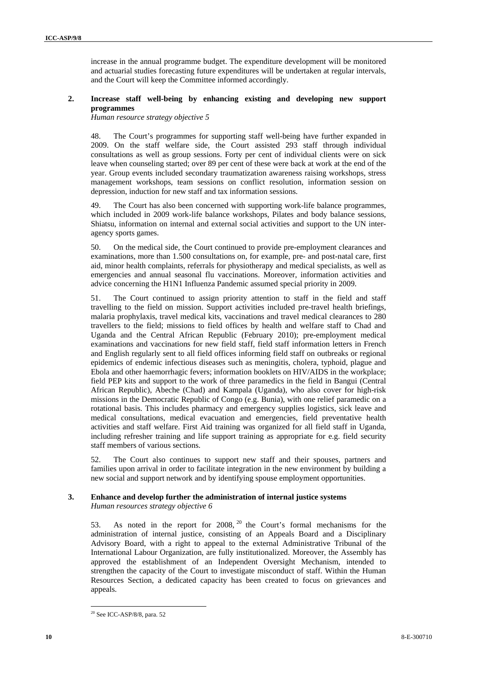increase in the annual programme budget. The expenditure development will be monitored and actuarial studies forecasting future expenditures will be undertaken at regular intervals, and the Court will keep the Committee informed accordingly.

#### **2. Increase staff well-being by enhancing existing and developing new support programmes**

*Human resource strategy objective 5* 

48. The Court's programmes for supporting staff well-being have further expanded in 2009. On the staff welfare side, the Court assisted 293 staff through individual consultations as well as group sessions. Forty per cent of individual clients were on sick leave when counseling started; over 89 per cent of these were back at work at the end of the year. Group events included secondary traumatization awareness raising workshops, stress management workshops, team sessions on conflict resolution, information session on depression, induction for new staff and tax information sessions.

49. The Court has also been concerned with supporting work-life balance programmes, which included in 2009 work-life balance workshops, Pilates and body balance sessions, Shiatsu, information on internal and external social activities and support to the UN interagency sports games.

50. On the medical side, the Court continued to provide pre-employment clearances and examinations, more than 1.500 consultations on, for example, pre- and post-natal care, first aid, minor health complaints, referrals for physiotherapy and medical specialists, as well as emergencies and annual seasonal flu vaccinations. Moreover, information activities and advice concerning the H1N1 Influenza Pandemic assumed special priority in 2009.

51. The Court continued to assign priority attention to staff in the field and staff travelling to the field on mission. Support activities included pre-travel health briefings, malaria prophylaxis, travel medical kits, vaccinations and travel medical clearances to 280 travellers to the field; missions to field offices by health and welfare staff to Chad and Uganda and the Central African Republic (February 2010); pre-employment medical examinations and vaccinations for new field staff, field staff information letters in French and English regularly sent to all field offices informing field staff on outbreaks or regional epidemics of endemic infectious diseases such as meningitis, cholera, typhoid, plague and Ebola and other haemorrhagic fevers; information booklets on HIV/AIDS in the workplace; field PEP kits and support to the work of three paramedics in the field in Bangui (Central African Republic), Abeche (Chad) and Kampala (Uganda), who also cover for high-risk missions in the Democratic Republic of Congo (e.g. Bunia), with one relief paramedic on a rotational basis. This includes pharmacy and emergency supplies logistics, sick leave and medical consultations, medical evacuation and emergencies, field preventative health activities and staff welfare. First Aid training was organized for all field staff in Uganda, including refresher training and life support training as appropriate for e.g. field security staff members of various sections.

52. The Court also continues to support new staff and their spouses, partners and families upon arrival in order to facilitate integration in the new environment by building a new social and support network and by identifying spouse employment opportunities.

# **3. Enhance and develop further the administration of internal justice systems**

*Human resources strategy objective 6* 

53. As noted in the report for  $2008$ ,  $20$  the Court's formal mechanisms for the administration of internal justice, consisting of an Appeals Board and a Disciplinary Advisory Board, with a right to appeal to the external Administrative Tribunal of the International Labour Organization, are fully institutionalized. Moreover, the Assembly has approved the establishment of an Independent Oversight Mechanism, intended to strengthen the capacity of the Court to investigate misconduct of staff. Within the Human Resources Section, a dedicated capacity has been created to focus on grievances and appeals.

<sup>20</sup> See ICC-ASP/8/8, para. 52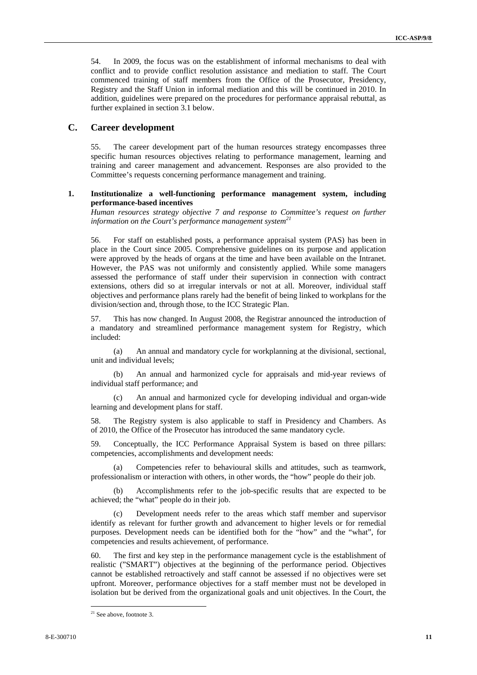54. In 2009, the focus was on the establishment of informal mechanisms to deal with conflict and to provide conflict resolution assistance and mediation to staff. The Court commenced training of staff members from the Office of the Prosecutor, Presidency, Registry and the Staff Union in informal mediation and this will be continued in 2010. In addition, guidelines were prepared on the procedures for performance appraisal rebuttal, as further explained in section 3.1 below.

#### **C. Career development**

55. The career development part of the human resources strategy encompasses three specific human resources objectives relating to performance management, learning and training and career management and advancement. Responses are also provided to the Committee's requests concerning performance management and training.

#### **1. Institutionalize a well-functioning performance management system, including performance-based incentives**

*Human resources strategy objective 7 and response to Committee's request on further information on the Court's performance management system*<sup>21</sup>

56. For staff on established posts, a performance appraisal system (PAS) has been in place in the Court since 2005. Comprehensive guidelines on its purpose and application were approved by the heads of organs at the time and have been available on the Intranet. However, the PAS was not uniformly and consistently applied. While some managers assessed the performance of staff under their supervision in connection with contract extensions, others did so at irregular intervals or not at all. Moreover, individual staff objectives and performance plans rarely had the benefit of being linked to workplans for the division/section and, through those, to the ICC Strategic Plan.

57. This has now changed. In August 2008, the Registrar announced the introduction of a mandatory and streamlined performance management system for Registry, which included:

(a) An annual and mandatory cycle for workplanning at the divisional, sectional, unit and individual levels;

(b) An annual and harmonized cycle for appraisals and mid-year reviews of individual staff performance; and

(c) An annual and harmonized cycle for developing individual and organ-wide learning and development plans for staff.

58. The Registry system is also applicable to staff in Presidency and Chambers. As of 2010, the Office of the Prosecutor has introduced the same mandatory cycle.

59. Conceptually, the ICC Performance Appraisal System is based on three pillars: competencies, accomplishments and development needs:

(a) Competencies refer to behavioural skills and attitudes, such as teamwork, professionalism or interaction with others, in other words, the "how" people do their job.

(b) Accomplishments refer to the job-specific results that are expected to be achieved; the "what" people do in their job.

(c) Development needs refer to the areas which staff member and supervisor identify as relevant for further growth and advancement to higher levels or for remedial purposes. Development needs can be identified both for the "how" and the "what", for competencies and results achievement, of performance.

60. The first and key step in the performance management cycle is the establishment of realistic ("SMART") objectives at the beginning of the performance period. Objectives cannot be established retroactively and staff cannot be assessed if no objectives were set upfront. Moreover, performance objectives for a staff member must not be developed in isolation but be derived from the organizational goals and unit objectives. In the Court, the

 $21$  See above, footnote 3.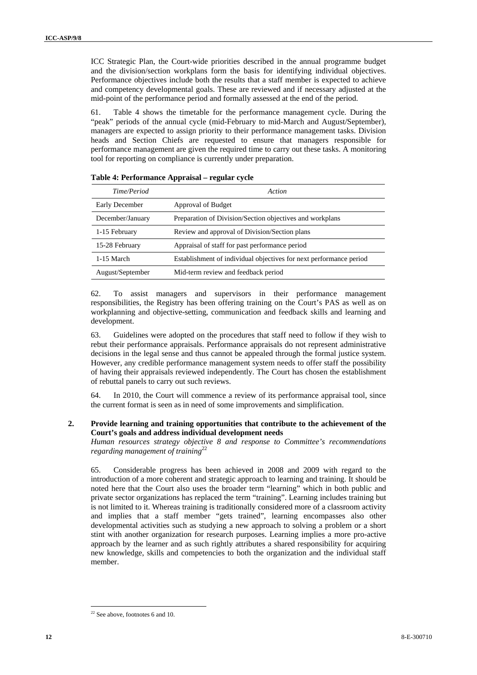ICC Strategic Plan, the Court-wide priorities described in the annual programme budget and the division/section workplans form the basis for identifying individual objectives. Performance objectives include both the results that a staff member is expected to achieve and competency developmental goals. These are reviewed and if necessary adjusted at the mid-point of the performance period and formally assessed at the end of the period.

61. Table 4 shows the timetable for the performance management cycle. During the "peak" periods of the annual cycle (mid-February to mid-March and August/September), managers are expected to assign priority to their performance management tasks. Division heads and Section Chiefs are requested to ensure that managers responsible for performance management are given the required time to carry out these tasks. A monitoring tool for reporting on compliance is currently under preparation.

| Time/Period           | Action                                                             |
|-----------------------|--------------------------------------------------------------------|
| <b>Early December</b> | Approval of Budget                                                 |
| December/January      | Preparation of Division/Section objectives and workplans           |
| 1-15 February         | Review and approval of Division/Section plans                      |
| 15-28 February        | Appraisal of staff for past performance period                     |
| 1-15 March            | Establishment of individual objectives for next performance period |
| August/September      | Mid-term review and feedback period                                |

|  | Table 4: Performance Appraisal – regular cycle |  |  |
|--|------------------------------------------------|--|--|
|--|------------------------------------------------|--|--|

62. To assist managers and supervisors in their performance management responsibilities, the Registry has been offering training on the Court's PAS as well as on workplanning and objective-setting, communication and feedback skills and learning and development.

63. Guidelines were adopted on the procedures that staff need to follow if they wish to rebut their performance appraisals. Performance appraisals do not represent administrative decisions in the legal sense and thus cannot be appealed through the formal justice system. However, any credible performance management system needs to offer staff the possibility of having their appraisals reviewed independently. The Court has chosen the establishment of rebuttal panels to carry out such reviews.

64. In 2010, the Court will commence a review of its performance appraisal tool, since the current format is seen as in need of some improvements and simplification.

#### **2. Provide learning and training opportunities that contribute to the achievement of the Court's goals and address individual development needs**

*Human resources strategy objective 8 and response to Committee's recommendations regarding management of training*<sup>22</sup>

65. Considerable progress has been achieved in 2008 and 2009 with regard to the introduction of a more coherent and strategic approach to learning and training. It should be noted here that the Court also uses the broader term "learning" which in both public and private sector organizations has replaced the term "training". Learning includes training but is not limited to it. Whereas training is traditionally considered more of a classroom activity and implies that a staff member "gets trained", learning encompasses also other developmental activities such as studying a new approach to solving a problem or a short stint with another organization for research purposes. Learning implies a more pro-active approach by the learner and as such rightly attributes a shared responsibility for acquiring new knowledge, skills and competencies to both the organization and the individual staff member.

 $22$  See above, footnotes 6 and 10.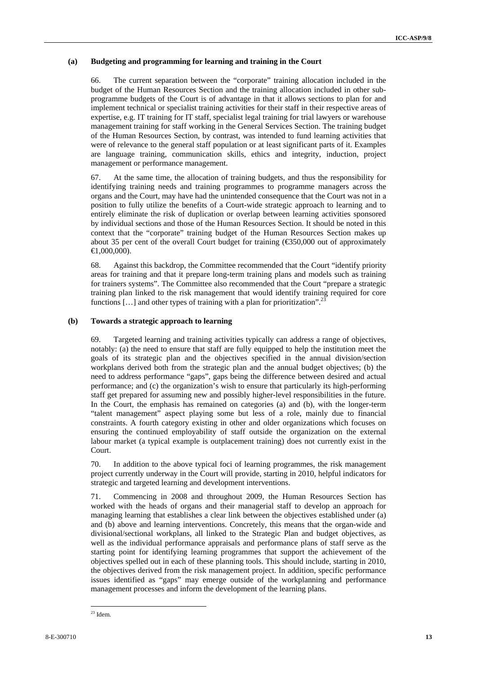#### **(a) Budgeting and programming for learning and training in the Court**

66. The current separation between the "corporate" training allocation included in the budget of the Human Resources Section and the training allocation included in other subprogramme budgets of the Court is of advantage in that it allows sections to plan for and implement technical or specialist training activities for their staff in their respective areas of expertise, e.g. IT training for IT staff, specialist legal training for trial lawyers or warehouse management training for staff working in the General Services Section. The training budget of the Human Resources Section, by contrast, was intended to fund learning activities that were of relevance to the general staff population or at least significant parts of it. Examples are language training, communication skills, ethics and integrity, induction, project management or performance management.

67. At the same time, the allocation of training budgets, and thus the responsibility for identifying training needs and training programmes to programme managers across the organs and the Court, may have had the unintended consequence that the Court was not in a position to fully utilize the benefits of a Court-wide strategic approach to learning and to entirely eliminate the risk of duplication or overlap between learning activities sponsored by individual sections and those of the Human Resources Section. It should be noted in this context that the "corporate" training budget of the Human Resources Section makes up about 35 per cent of the overall Court budget for training ( $\epsilon$ 50,000 out of approximately  $\bigoplus$ ,000,000).

68. Against this backdrop, the Committee recommended that the Court "identify priority areas for training and that it prepare long-term training plans and models such as training for trainers systems". The Committee also recommended that the Court "prepare a strategic training plan linked to the risk management that would identify training required for core functions  $[\dots]$  and other types of training with a plan for prioritization".

#### **(b) Towards a strategic approach to learning**

69. Targeted learning and training activities typically can address a range of objectives, notably: (a) the need to ensure that staff are fully equipped to help the institution meet the goals of its strategic plan and the objectives specified in the annual division/section workplans derived both from the strategic plan and the annual budget objectives; (b) the need to address performance "gaps", gaps being the difference between desired and actual performance; and (c) the organization's wish to ensure that particularly its high-performing staff get prepared for assuming new and possibly higher-level responsibilities in the future. In the Court, the emphasis has remained on categories (a) and (b), with the longer-term "talent management" aspect playing some but less of a role, mainly due to financial constraints. A fourth category existing in other and older organizations which focuses on ensuring the continued employability of staff outside the organization on the external labour market (a typical example is outplacement training) does not currently exist in the Court.

70. In addition to the above typical foci of learning programmes, the risk management project currently underway in the Court will provide, starting in 2010, helpful indicators for strategic and targeted learning and development interventions.

71. Commencing in 2008 and throughout 2009, the Human Resources Section has worked with the heads of organs and their managerial staff to develop an approach for managing learning that establishes a clear link between the objectives established under (a) and (b) above and learning interventions. Concretely, this means that the organ-wide and divisional/sectional workplans, all linked to the Strategic Plan and budget objectives, as well as the individual performance appraisals and performance plans of staff serve as the starting point for identifying learning programmes that support the achievement of the objectives spelled out in each of these planning tools. This should include, starting in 2010, the objectives derived from the risk management project. In addition, specific performance issues identified as "gaps" may emerge outside of the workplanning and performance management processes and inform the development of the learning plans.

 $\overline{a}$  $23$  Idem.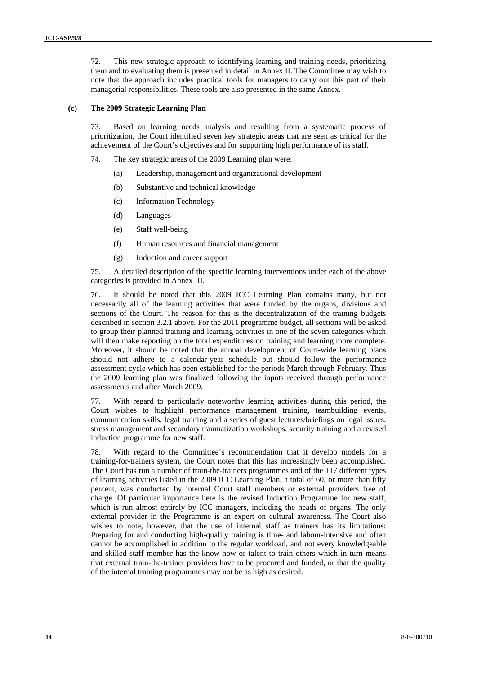72. This new strategic approach to identifying learning and training needs, prioritizing them and to evaluating them is presented in detail in Annex II. The Committee may wish to note that the approach includes practical tools for managers to carry out this part of their managerial responsibilities. These tools are also presented in the same Annex.

#### **(c) The 2009 Strategic Learning Plan**

73. Based on learning needs analysis and resulting from a systematic process of prioritization, the Court identified seven key strategic areas that are seen as critical for the achievement of the Court's objectives and for supporting high performance of its staff.

74. The key strategic areas of the 2009 Learning plan were:

- (a) Leadership, management and organizational development
- (b) Substantive and technical knowledge
- (c) Information Technology
- (d) Languages
- (e) Staff well-being
- (f) Human resources and financial management
- (g) Induction and career support

75. A detailed description of the specific learning interventions under each of the above categories is provided in Annex III.

76. It should be noted that this 2009 ICC Learning Plan contains many, but not necessarily all of the learning activities that were funded by the organs, divisions and sections of the Court. The reason for this is the decentralization of the training budgets described in section 3.2.1 above. For the 2011 programme budget, all sections will be asked to group their planned training and learning activities in one of the seven categories which will then make reporting on the total expenditures on training and learning more complete. Moreover, it should be noted that the annual development of Court-wide learning plans should not adhere to a calendar-year schedule but should follow the performance assessment cycle which has been established for the periods March through February. Thus the 2009 learning plan was finalized following the inputs received through performance assessments and after March 2009.

77. With regard to particularly noteworthy learning activities during this period, the Court wishes to highlight performance management training, teambuilding events, communication skills, legal training and a series of guest lectures/briefings on legal issues, stress management and secondary traumatization workshops, security training and a revised induction programme for new staff.

78. With regard to the Committee's recommendation that it develop models for a training-for-trainers system, the Court notes that this has increasingly been accomplished. The Court has run a number of train-the-trainers programmes and of the 117 different types of learning activities listed in the 2009 ICC Learning Plan, a total of 60, or more than fifty percent, was conducted by internal Court staff members or external providers free of charge. Of particular importance here is the revised Induction Programme for new staff, which is run almost entirely by ICC managers, including the heads of organs. The only external provider in the Programme is an expert on cultural awareness. The Court also wishes to note, however, that the use of internal staff as trainers has its limitations: Preparing for and conducting high-quality training is time- and labour-intensive and often cannot be accomplished in addition to the regular workload, and not every knowledgeable and skilled staff member has the know-how or talent to train others which in turn means that external train-the-trainer providers have to be procured and funded, or that the quality of the internal training programmes may not be as high as desired.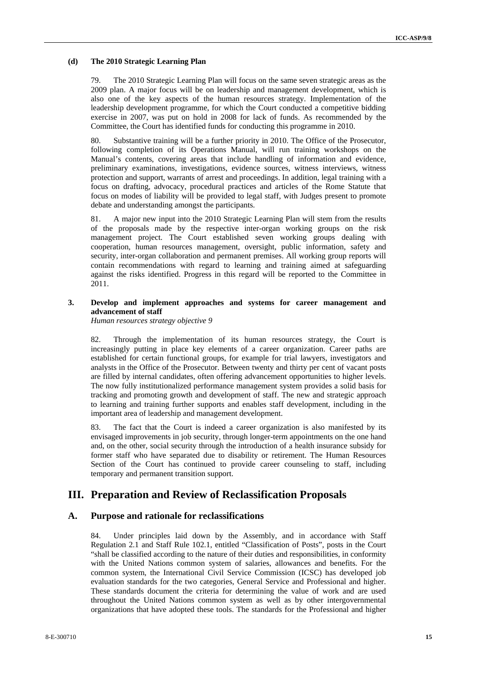#### **(d) The 2010 Strategic Learning Plan**

79. The 2010 Strategic Learning Plan will focus on the same seven strategic areas as the 2009 plan. A major focus will be on leadership and management development, which is also one of the key aspects of the human resources strategy. Implementation of the leadership development programme, for which the Court conducted a competitive bidding exercise in 2007, was put on hold in 2008 for lack of funds. As recommended by the Committee, the Court has identified funds for conducting this programme in 2010.

80. Substantive training will be a further priority in 2010. The Office of the Prosecutor, following completion of its Operations Manual, will run training workshops on the Manual's contents, covering areas that include handling of information and evidence, preliminary examinations, investigations, evidence sources, witness interviews, witness protection and support, warrants of arrest and proceedings. In addition, legal training with a focus on drafting, advocacy, procedural practices and articles of the Rome Statute that focus on modes of liability will be provided to legal staff, with Judges present to promote debate and understanding amongst the participants.

81. A major new input into the 2010 Strategic Learning Plan will stem from the results of the proposals made by the respective inter-organ working groups on the risk management project. The Court established seven working groups dealing with cooperation, human resources management, oversight, public information, safety and security, inter-organ collaboration and permanent premises. All working group reports will contain recommendations with regard to learning and training aimed at safeguarding against the risks identified. Progress in this regard will be reported to the Committee in 2011.

#### **3. Develop and implement approaches and systems for career management and advancement of staff**

*Human resources strategy objective 9* 

82. Through the implementation of its human resources strategy, the Court is increasingly putting in place key elements of a career organization. Career paths are established for certain functional groups, for example for trial lawyers, investigators and analysts in the Office of the Prosecutor. Between twenty and thirty per cent of vacant posts are filled by internal candidates, often offering advancement opportunities to higher levels. The now fully institutionalized performance management system provides a solid basis for tracking and promoting growth and development of staff. The new and strategic approach to learning and training further supports and enables staff development, including in the important area of leadership and management development.

83. The fact that the Court is indeed a career organization is also manifested by its envisaged improvements in job security, through longer-term appointments on the one hand and, on the other, social security through the introduction of a health insurance subsidy for former staff who have separated due to disability or retirement. The Human Resources Section of the Court has continued to provide career counseling to staff, including temporary and permanent transition support.

# **III. Preparation and Review of Reclassification Proposals**

## **A. Purpose and rationale for reclassifications**

84. Under principles laid down by the Assembly, and in accordance with Staff Regulation 2.1 and Staff Rule 102.1, entitled "Classification of Posts", posts in the Court "shall be classified according to the nature of their duties and responsibilities, in conformity with the United Nations common system of salaries, allowances and benefits. For the common system, the International Civil Service Commission (ICSC) has developed job evaluation standards for the two categories, General Service and Professional and higher. These standards document the criteria for determining the value of work and are used throughout the United Nations common system as well as by other intergovernmental organizations that have adopted these tools. The standards for the Professional and higher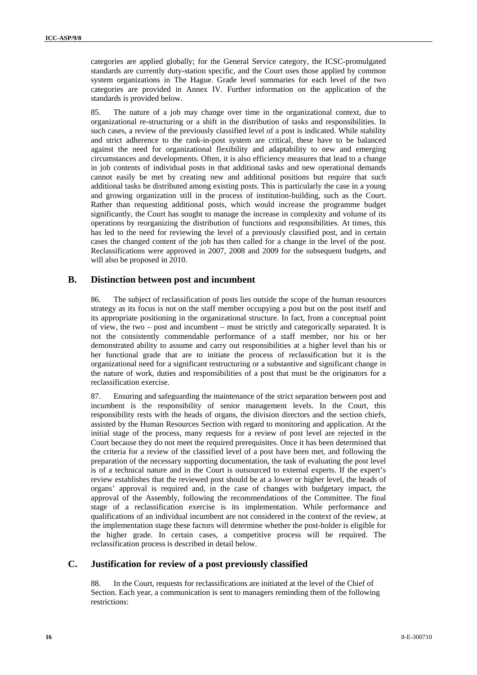categories are applied globally; for the General Service category, the ICSC-promulgated standards are currently duty-station specific, and the Court uses those applied by common system organizations in The Hague. Grade level summaries for each level of the two categories are provided in Annex IV. Further information on the application of the standards is provided below.

85. The nature of a job may change over time in the organizational context, due to organizational re-structuring or a shift in the distribution of tasks and responsibilities. In such cases, a review of the previously classified level of a post is indicated. While stability and strict adherence to the rank-in-post system are critical, these have to be balanced against the need for organizational flexibility and adaptability to new and emerging circumstances and developments. Often, it is also efficiency measures that lead to a change in job contents of individual posts in that additional tasks and new operational demands cannot easily be met by creating new and additional positions but require that such additional tasks be distributed among existing posts. This is particularly the case in a young and growing organization still in the process of institution-building, such as the Court. Rather than requesting additional posts, which would increase the programme budget significantly, the Court has sought to manage the increase in complexity and volume of its operations by reorganizing the distribution of functions and responsibilities. At times, this has led to the need for reviewing the level of a previously classified post, and in certain cases the changed content of the job has then called for a change in the level of the post. Reclassifications were approved in 2007, 2008 and 2009 for the subsequent budgets, and will also be proposed in 2010.

#### **B. Distinction between post and incumbent**

86. The subject of reclassification of posts lies outside the scope of the human resources strategy as its focus is not on the staff member occupying a post but on the post itself and its appropriate positioning in the organizational structure. In fact, from a conceptual point of view, the two – post and incumbent – must be strictly and categorically separated. It is not the consistently commendable performance of a staff member, nor his or her demonstrated ability to assume and carry out responsibilities at a higher level than his or her functional grade that are to initiate the process of reclassification but it is the organizational need for a significant restructuring or a substantive and significant change in the nature of work, duties and responsibilities of a post that must be the originators for a reclassification exercise.

87. Ensuring and safeguarding the maintenance of the strict separation between post and incumbent is the responsibility of senior management levels. In the Court, this responsibility rests with the heads of organs, the division directors and the section chiefs, assisted by the Human Resources Section with regard to monitoring and application. At the initial stage of the process, many requests for a review of post level are rejected in the Court because they do not meet the required prerequisites. Once it has been determined that the criteria for a review of the classified level of a post have been met, and following the preparation of the necessary supporting documentation, the task of evaluating the post level is of a technical nature and in the Court is outsourced to external experts. If the expert's review establishes that the reviewed post should be at a lower or higher level, the heads of organs' approval is required and, in the case of changes with budgetary impact, the approval of the Assembly, following the recommendations of the Committee. The final stage of a reclassification exercise is its implementation. While performance and qualifications of an individual incumbent are not considered in the context of the review, at the implementation stage these factors will determine whether the post-holder is eligible for the higher grade. In certain cases, a competitive process will be required. The reclassification process is described in detail below.

#### **C. Justification for review of a post previously classified**

88. In the Court, requests for reclassifications are initiated at the level of the Chief of Section. Each year, a communication is sent to managers reminding them of the following restrictions: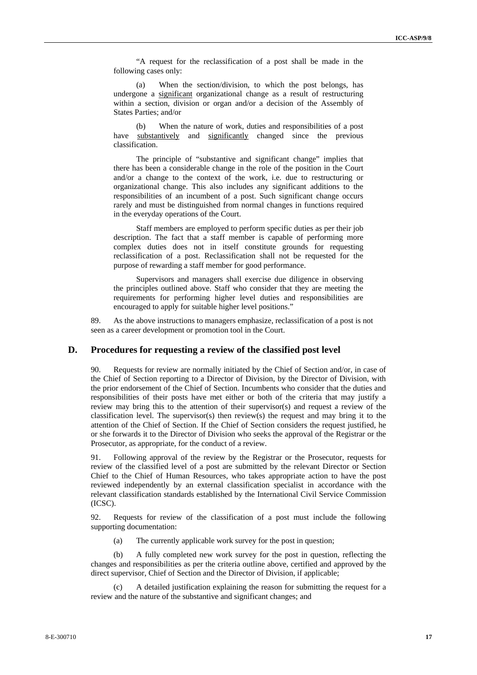"A request for the reclassification of a post shall be made in the following cases only:

(a) When the section/division, to which the post belongs, has undergone a significant organizational change as a result of restructuring within a section, division or organ and/or a decision of the Assembly of States Parties; and/or

(b) When the nature of work, duties and responsibilities of a post have substantively and significantly changed since the previous classification.

The principle of "substantive and significant change" implies that there has been a considerable change in the role of the position in the Court and/or a change to the context of the work, i.e. due to restructuring or organizational change. This also includes any significant additions to the responsibilities of an incumbent of a post. Such significant change occurs rarely and must be distinguished from normal changes in functions required in the everyday operations of the Court.

Staff members are employed to perform specific duties as per their job description. The fact that a staff member is capable of performing more complex duties does not in itself constitute grounds for requesting reclassification of a post. Reclassification shall not be requested for the purpose of rewarding a staff member for good performance.

Supervisors and managers shall exercise due diligence in observing the principles outlined above. Staff who consider that they are meeting the requirements for performing higher level duties and responsibilities are encouraged to apply for suitable higher level positions."

89. As the above instructions to managers emphasize, reclassification of a post is not seen as a career development or promotion tool in the Court.

#### **D. Procedures for requesting a review of the classified post level**

90. Requests for review are normally initiated by the Chief of Section and/or, in case of the Chief of Section reporting to a Director of Division, by the Director of Division, with the prior endorsement of the Chief of Section. Incumbents who consider that the duties and responsibilities of their posts have met either or both of the criteria that may justify a review may bring this to the attention of their supervisor(s) and request a review of the classification level. The supervisor(s) then review(s) the request and may bring it to the attention of the Chief of Section. If the Chief of Section considers the request justified, he or she forwards it to the Director of Division who seeks the approval of the Registrar or the Prosecutor, as appropriate, for the conduct of a review.

91. Following approval of the review by the Registrar or the Prosecutor, requests for review of the classified level of a post are submitted by the relevant Director or Section Chief to the Chief of Human Resources, who takes appropriate action to have the post reviewed independently by an external classification specialist in accordance with the relevant classification standards established by the International Civil Service Commission (ICSC).

92. Requests for review of the classification of a post must include the following supporting documentation:

(a) The currently applicable work survey for the post in question;

(b) A fully completed new work survey for the post in question, reflecting the changes and responsibilities as per the criteria outline above, certified and approved by the direct supervisor, Chief of Section and the Director of Division, if applicable;

(c) A detailed justification explaining the reason for submitting the request for a review and the nature of the substantive and significant changes; and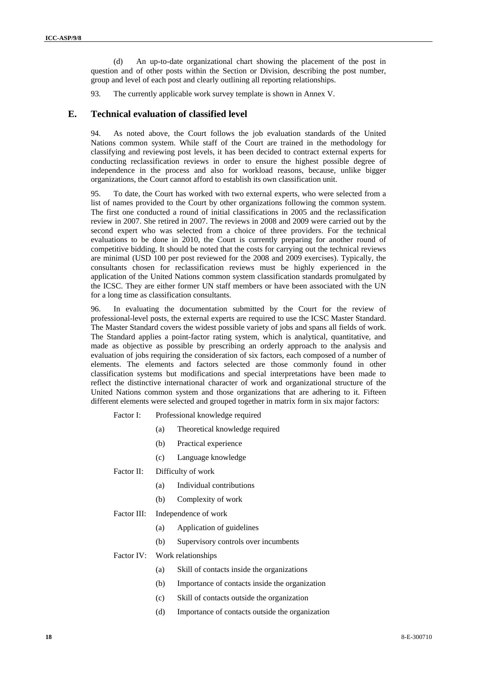(d) An up-to-date organizational chart showing the placement of the post in question and of other posts within the Section or Division, describing the post number, group and level of each post and clearly outlining all reporting relationships.

93. The currently applicable work survey template is shown in Annex V.

#### **E. Technical evaluation of classified level**

94. As noted above, the Court follows the job evaluation standards of the United Nations common system. While staff of the Court are trained in the methodology for classifying and reviewing post levels, it has been decided to contract external experts for conducting reclassification reviews in order to ensure the highest possible degree of independence in the process and also for workload reasons, because, unlike bigger organizations, the Court cannot afford to establish its own classification unit.

95. To date, the Court has worked with two external experts, who were selected from a list of names provided to the Court by other organizations following the common system. The first one conducted a round of initial classifications in 2005 and the reclassification review in 2007. She retired in 2007. The reviews in 2008 and 2009 were carried out by the second expert who was selected from a choice of three providers. For the technical evaluations to be done in 2010, the Court is currently preparing for another round of competitive bidding. It should be noted that the costs for carrying out the technical reviews are minimal (USD 100 per post reviewed for the 2008 and 2009 exercises). Typically, the consultants chosen for reclassification reviews must be highly experienced in the application of the United Nations common system classification standards promulgated by the ICSC. They are either former UN staff members or have been associated with the UN for a long time as classification consultants.

96. In evaluating the documentation submitted by the Court for the review of professional-level posts, the external experts are required to use the ICSC Master Standard. The Master Standard covers the widest possible variety of jobs and spans all fields of work. The Standard applies a point-factor rating system, which is analytical, quantitative, and made as objective as possible by prescribing an orderly approach to the analysis and evaluation of jobs requiring the consideration of six factors, each composed of a number of elements. The elements and factors selected are those commonly found in other classification systems but modifications and special interpretations have been made to reflect the distinctive international character of work and organizational structure of the United Nations common system and those organizations that are adhering to it. Fifteen different elements were selected and grouped together in matrix form in six major factors:

- Factor I: Professional knowledge required
	- (a) Theoretical knowledge required
	- (b) Practical experience
	- (c) Language knowledge
- Factor II: Difficulty of work
	- (a) Individual contributions
	- (b) Complexity of work

#### Factor III: Independence of work

- (a) Application of guidelines
- (b) Supervisory controls over incumbents

#### Factor IV: Work relationships

- (a) Skill of contacts inside the organizations
- (b) Importance of contacts inside the organization
- (c) Skill of contacts outside the organization
- (d) Importance of contacts outside the organization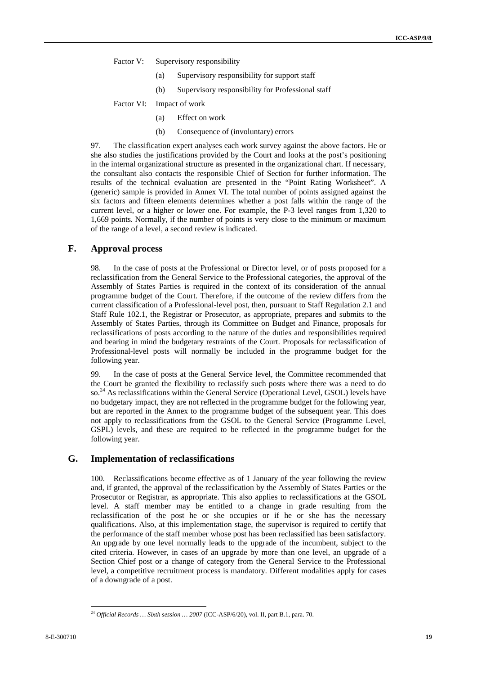Factor V: Supervisory responsibility

- (a) Supervisory responsibility for support staff
- (b) Supervisory responsibility for Professional staff

Factor VI: Impact of work

- (a) Effect on work
- (b) Consequence of (involuntary) errors

97. The classification expert analyses each work survey against the above factors. He or she also studies the justifications provided by the Court and looks at the post's positioning in the internal organizational structure as presented in the organizational chart. If necessary, the consultant also contacts the responsible Chief of Section for further information. The results of the technical evaluation are presented in the "Point Rating Worksheet". A (generic) sample is provided in Annex VI. The total number of points assigned against the six factors and fifteen elements determines whether a post falls within the range of the current level, or a higher or lower one. For example, the P-3 level ranges from 1,320 to 1,669 points. Normally, if the number of points is very close to the minimum or maximum of the range of a level, a second review is indicated.

#### **F. Approval process**

98. In the case of posts at the Professional or Director level, or of posts proposed for a reclassification from the General Service to the Professional categories, the approval of the Assembly of States Parties is required in the context of its consideration of the annual programme budget of the Court. Therefore, if the outcome of the review differs from the current classification of a Professional-level post, then, pursuant to Staff Regulation 2.1 and Staff Rule 102.1, the Registrar or Prosecutor, as appropriate, prepares and submits to the Assembly of States Parties, through its Committee on Budget and Finance, proposals for reclassifications of posts according to the nature of the duties and responsibilities required and bearing in mind the budgetary restraints of the Court. Proposals for reclassification of Professional-level posts will normally be included in the programme budget for the following year.

99. In the case of posts at the General Service level, the Committee recommended that the Court be granted the flexibility to reclassify such posts where there was a need to do so.<sup>24</sup> As reclassifications within the General Service (Operational Level, GSOL) levels have no budgetary impact, they are not reflected in the programme budget for the following year, but are reported in the Annex to the programme budget of the subsequent year. This does not apply to reclassifications from the GSOL to the General Service (Programme Level, GSPL) levels, and these are required to be reflected in the programme budget for the following year.

#### **G. Implementation of reclassifications**

100. Reclassifications become effective as of 1 January of the year following the review and, if granted, the approval of the reclassification by the Assembly of States Parties or the Prosecutor or Registrar, as appropriate. This also applies to reclassifications at the GSOL level. A staff member may be entitled to a change in grade resulting from the reclassification of the post he or she occupies or if he or she has the necessary qualifications. Also, at this implementation stage, the supervisor is required to certify that the performance of the staff member whose post has been reclassified has been satisfactory. An upgrade by one level normally leads to the upgrade of the incumbent, subject to the cited criteria. However, in cases of an upgrade by more than one level, an upgrade of a Section Chief post or a change of category from the General Service to the Professional level, a competitive recruitment process is mandatory. Different modalities apply for cases of a downgrade of a post.

<sup>24</sup> *Official Records … Sixth session … 2007* (ICC-ASP/6/20), vol. II, part B.1, para. 70.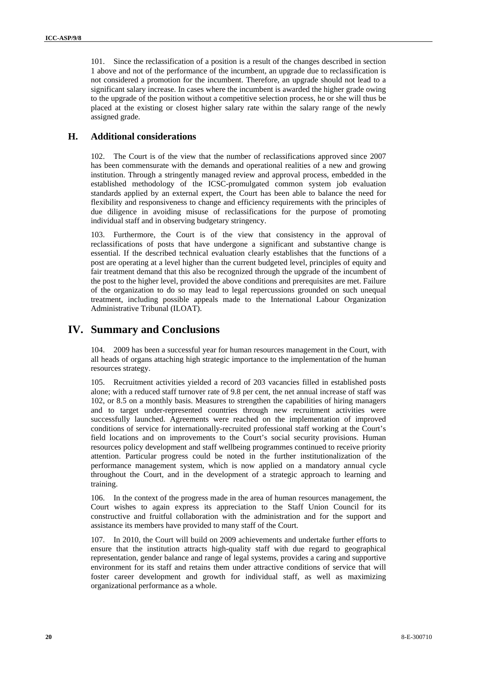101. Since the reclassification of a position is a result of the changes described in section 1 above and not of the performance of the incumbent, an upgrade due to reclassification is not considered a promotion for the incumbent. Therefore, an upgrade should not lead to a significant salary increase. In cases where the incumbent is awarded the higher grade owing to the upgrade of the position without a competitive selection process, he or she will thus be placed at the existing or closest higher salary rate within the salary range of the newly assigned grade.

#### **H. Additional considerations**

102. The Court is of the view that the number of reclassifications approved since 2007 has been commensurate with the demands and operational realities of a new and growing institution. Through a stringently managed review and approval process, embedded in the established methodology of the ICSC-promulgated common system job evaluation standards applied by an external expert, the Court has been able to balance the need for flexibility and responsiveness to change and efficiency requirements with the principles of due diligence in avoiding misuse of reclassifications for the purpose of promoting individual staff and in observing budgetary stringency.

103. Furthermore, the Court is of the view that consistency in the approval of reclassifications of posts that have undergone a significant and substantive change is essential. If the described technical evaluation clearly establishes that the functions of a post are operating at a level higher than the current budgeted level, principles of equity and fair treatment demand that this also be recognized through the upgrade of the incumbent of the post to the higher level, provided the above conditions and prerequisites are met. Failure of the organization to do so may lead to legal repercussions grounded on such unequal treatment, including possible appeals made to the International Labour Organization Administrative Tribunal (ILOAT).

## **IV. Summary and Conclusions**

104. 2009 has been a successful year for human resources management in the Court, with all heads of organs attaching high strategic importance to the implementation of the human resources strategy.

105. Recruitment activities yielded a record of 203 vacancies filled in established posts alone; with a reduced staff turnover rate of 9.8 per cent, the net annual increase of staff was 102, or 8.5 on a monthly basis. Measures to strengthen the capabilities of hiring managers and to target under-represented countries through new recruitment activities were successfully launched. Agreements were reached on the implementation of improved conditions of service for internationally-recruited professional staff working at the Court's field locations and on improvements to the Court's social security provisions. Human resources policy development and staff wellbeing programmes continued to receive priority attention. Particular progress could be noted in the further institutionalization of the performance management system, which is now applied on a mandatory annual cycle throughout the Court, and in the development of a strategic approach to learning and training.

106. In the context of the progress made in the area of human resources management, the Court wishes to again express its appreciation to the Staff Union Council for its constructive and fruitful collaboration with the administration and for the support and assistance its members have provided to many staff of the Court.

107. In 2010, the Court will build on 2009 achievements and undertake further efforts to ensure that the institution attracts high-quality staff with due regard to geographical representation, gender balance and range of legal systems, provides a caring and supportive environment for its staff and retains them under attractive conditions of service that will foster career development and growth for individual staff, as well as maximizing organizational performance as a whole.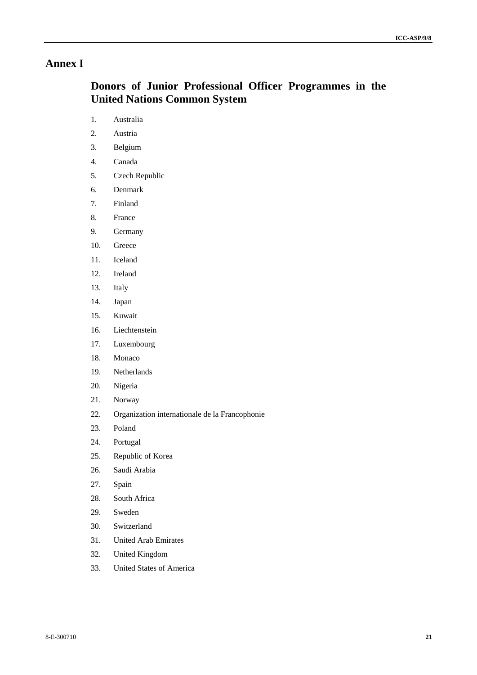# **Annex I**

# **Donors of Junior Professional Officer Programmes in the United Nations Common System**

- 1. Australia
- 2. Austria
- 3. Belgium
- 4. Canada
- 5. Czech Republic
- 6. Denmark
- 7. Finland
- 8. France
- 9. Germany
- 10. Greece
- 11. Iceland
- 12. Ireland
- 13. Italy
- 14. Japan
- 15. Kuwait
- 16. Liechtenstein
- 17. Luxembourg
- 18. Monaco
- 19. Netherlands
- 20. Nigeria
- 21. Norway
- 22. Organization internationale de la Francophonie
- 23. Poland
- 24. Portugal
- 25. Republic of Korea
- 26. Saudi Arabia
- 27. Spain
- 28. South Africa
- 29. Sweden
- 30. Switzerland
- 31. United Arab Emirates
- 32. United Kingdom
- 33. United States of America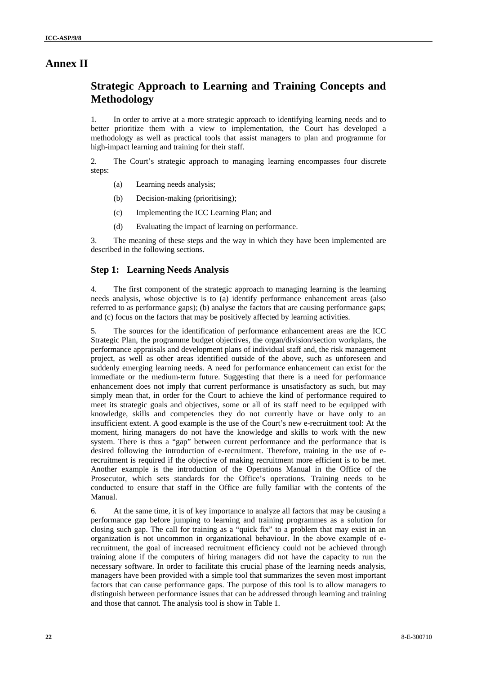# **Annex II**

# **Strategic Approach to Learning and Training Concepts and Methodology**

1. In order to arrive at a more strategic approach to identifying learning needs and to better prioritize them with a view to implementation, the Court has developed a methodology as well as practical tools that assist managers to plan and programme for high-impact learning and training for their staff.

2. The Court's strategic approach to managing learning encompasses four discrete steps:

- (a) Learning needs analysis;
- (b) Decision-making (prioritising);
- (c) Implementing the ICC Learning Plan; and
- (d) Evaluating the impact of learning on performance.

3. The meaning of these steps and the way in which they have been implemented are described in the following sections.

## **Step 1: Learning Needs Analysis**

4. The first component of the strategic approach to managing learning is the learning needs analysis, whose objective is to (a) identify performance enhancement areas (also referred to as performance gaps); (b) analyse the factors that are causing performance gaps; and (c) focus on the factors that may be positively affected by learning activities.

5. The sources for the identification of performance enhancement areas are the ICC Strategic Plan, the programme budget objectives, the organ/division/section workplans, the performance appraisals and development plans of individual staff and, the risk management project, as well as other areas identified outside of the above, such as unforeseen and suddenly emerging learning needs. A need for performance enhancement can exist for the immediate or the medium-term future. Suggesting that there is a need for performance enhancement does not imply that current performance is unsatisfactory as such, but may simply mean that, in order for the Court to achieve the kind of performance required to meet its strategic goals and objectives, some or all of its staff need to be equipped with knowledge, skills and competencies they do not currently have or have only to an insufficient extent. A good example is the use of the Court's new e-recruitment tool: At the moment, hiring managers do not have the knowledge and skills to work with the new system. There is thus a "gap" between current performance and the performance that is desired following the introduction of e-recruitment. Therefore, training in the use of erecruitment is required if the objective of making recruitment more efficient is to be met. Another example is the introduction of the Operations Manual in the Office of the Prosecutor, which sets standards for the Office's operations. Training needs to be conducted to ensure that staff in the Office are fully familiar with the contents of the Manual.

6. At the same time, it is of key importance to analyze all factors that may be causing a performance gap before jumping to learning and training programmes as a solution for closing such gap. The call for training as a "quick fix" to a problem that may exist in an organization is not uncommon in organizational behaviour. In the above example of erecruitment, the goal of increased recruitment efficiency could not be achieved through training alone if the computers of hiring managers did not have the capacity to run the necessary software. In order to facilitate this crucial phase of the learning needs analysis, managers have been provided with a simple tool that summarizes the seven most important factors that can cause performance gaps. The purpose of this tool is to allow managers to distinguish between performance issues that can be addressed through learning and training and those that cannot. The analysis tool is show in Table 1.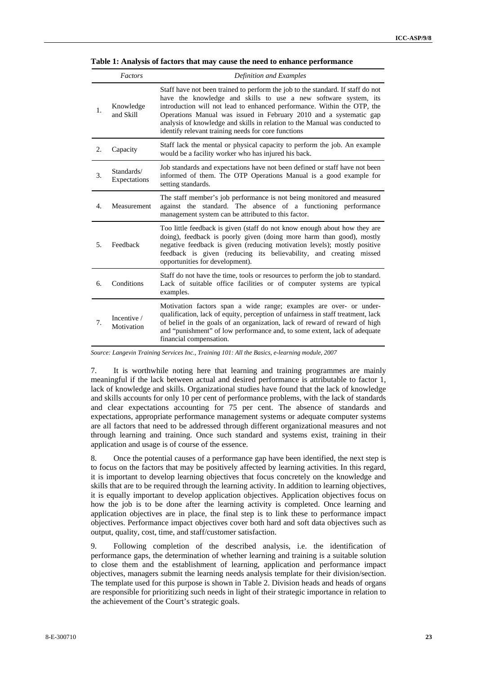|                  | Factors                    | Definition and Examples                                                                                                                                                                                                                                                                                                                                                                                                                   |
|------------------|----------------------------|-------------------------------------------------------------------------------------------------------------------------------------------------------------------------------------------------------------------------------------------------------------------------------------------------------------------------------------------------------------------------------------------------------------------------------------------|
| 1.               | Knowledge<br>and Skill     | Staff have not been trained to perform the job to the standard. If staff do not<br>have the knowledge and skills to use a new software system, its<br>introduction will not lead to enhanced performance. Within the OTP, the<br>Operations Manual was issued in February 2010 and a systematic gap<br>analysis of knowledge and skills in relation to the Manual was conducted to<br>identify relevant training needs for core functions |
| 2.               | Capacity                   | Staff lack the mental or physical capacity to perform the job. An example<br>would be a facility worker who has injured his back.                                                                                                                                                                                                                                                                                                         |
| 3.               | Standards/<br>Expectations | Job standards and expectations have not been defined or staff have not been<br>informed of them. The OTP Operations Manual is a good example for<br>setting standards.                                                                                                                                                                                                                                                                    |
| $\overline{4}$ . | Measurement                | The staff member's job performance is not being monitored and measured<br>against the standard. The absence of a functioning performance<br>management system can be attributed to this factor.                                                                                                                                                                                                                                           |
| 5.               | Feedback                   | Too little feedback is given (staff do not know enough about how they are<br>doing), feedback is poorly given (doing more harm than good), mostly<br>negative feedback is given (reducing motivation levels); mostly positive<br>feedback is given (reducing its believability, and creating missed<br>opportunities for development).                                                                                                    |
| 6.               | Conditions                 | Staff do not have the time, tools or resources to perform the job to standard.<br>Lack of suitable office facilities or of computer systems are typical<br>examples.                                                                                                                                                                                                                                                                      |
| 7.               | Incentive /<br>Motivation  | Motivation factors span a wide range; examples are over- or under-<br>qualification, lack of equity, perception of unfairness in staff treatment, lack<br>of belief in the goals of an organization, lack of reward of reward of high<br>and "punishment" of low performance and, to some extent, lack of adequate<br>financial compensation.                                                                                             |

**Table 1: Analysis of factors that may cause the need to enhance performance** 

*Source: Langevin Training Services Inc., Training 101: All the Basics, e-learning module, 2007* 

7. It is worthwhile noting here that learning and training programmes are mainly meaningful if the lack between actual and desired performance is attributable to factor 1, lack of knowledge and skills. Organizational studies have found that the lack of knowledge and skills accounts for only 10 per cent of performance problems, with the lack of standards and clear expectations accounting for 75 per cent. The absence of standards and expectations, appropriate performance management systems or adequate computer systems are all factors that need to be addressed through different organizational measures and not through learning and training. Once such standard and systems exist, training in their application and usage is of course of the essence.

8. Once the potential causes of a performance gap have been identified, the next step is to focus on the factors that may be positively affected by learning activities. In this regard, it is important to develop learning objectives that focus concretely on the knowledge and skills that are to be required through the learning activity. In addition to learning objectives, it is equally important to develop application objectives. Application objectives focus on how the job is to be done after the learning activity is completed. Once learning and application objectives are in place, the final step is to link these to performance impact objectives. Performance impact objectives cover both hard and soft data objectives such as output, quality, cost, time, and staff/customer satisfaction.

9. Following completion of the described analysis, i.e. the identification of performance gaps, the determination of whether learning and training is a suitable solution to close them and the establishment of learning, application and performance impact objectives, managers submit the learning needs analysis template for their division/section. The template used for this purpose is shown in Table 2. Division heads and heads of organs are responsible for prioritizing such needs in light of their strategic importance in relation to the achievement of the Court's strategic goals.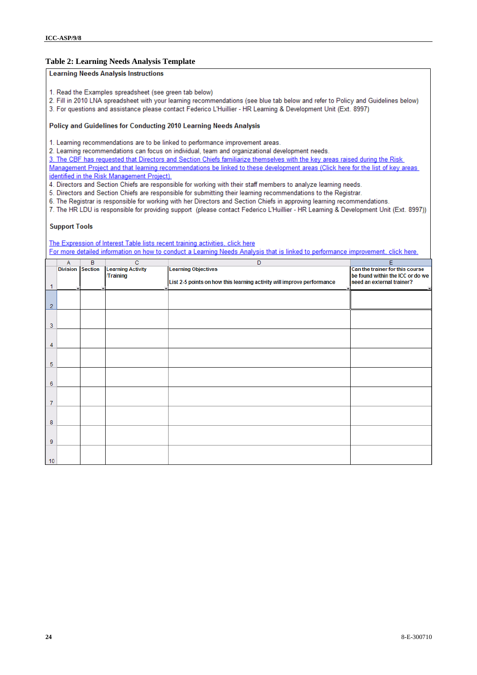#### **Table 2: Learning Needs Analysis Template**

#### **Learning Needs Analysis Instructions**

- 1. Read the Examples spreadsheet (see green tab below)
- 2. Fill in 2010 LNA spreadsheet with your learning recommendations (see blue tab below and refer to Policy and Guidelines below)
- 3. For questions and assistance please contact Federico L'Huillier HR Learning & Development Unit (Ext. 8997)

#### Policy and Guidelines for Conducting 2010 Learning Needs Analysis

1. Learning recommendations are to be linked to performance improvement areas.

2. Learning recommendations can focus on individual, team and organizational development needs.

3. The CBF has requested that Directors and Section Chiefs familiarize themselves with the key areas raised during the Risk Management Project and that learning recommendations be linked to these development areas (Click here for the list of key areas identified in the Risk Management Project).

4. Directors and Section Chiefs are responsible for working with their staff members to analyze learning needs.

5. Directors and Section Chiefs are responsible for submitting their learning recommendations to the Registrar.

6. The Registrar is responsible for working with her Directors and Section Chiefs in approving learning recommendations.

7. The HR LDU is responsible for providing support (please contact Federico L'Huillier - HR Learning & Development Unit (Ext. 8997))

#### **Support Tools**

The Expression of Interest Table lists recent training activities, click here For more detailed information on how to conduct a Learning Needs Analysis that is linked to performance improvement, click here.

|                | A                       | B | $\overline{c}$           | $\overline{D}$                                                         | Ε                                |
|----------------|-------------------------|---|--------------------------|------------------------------------------------------------------------|----------------------------------|
|                | <b>Division Section</b> |   | <b>Learning Activity</b> | <b>Learning Objectives</b>                                             | Can the trainer for this course  |
|                |                         |   | <b>/Training</b>         |                                                                        | be found within the ICC or do we |
|                |                         |   |                          | List 2-5 points on how this learning activity will improve performance | need an external trainer?        |
| 1              |                         |   |                          | $\cdot$                                                                |                                  |
|                |                         |   |                          |                                                                        |                                  |
|                |                         |   |                          |                                                                        |                                  |
| $\overline{2}$ |                         |   |                          |                                                                        |                                  |
|                |                         |   |                          |                                                                        |                                  |
| 3              |                         |   |                          |                                                                        |                                  |
|                |                         |   |                          |                                                                        |                                  |
|                |                         |   |                          |                                                                        |                                  |
| 4              |                         |   |                          |                                                                        |                                  |
|                |                         |   |                          |                                                                        |                                  |
|                |                         |   |                          |                                                                        |                                  |
| 5              |                         |   |                          |                                                                        |                                  |
|                |                         |   |                          |                                                                        |                                  |
|                |                         |   |                          |                                                                        |                                  |
| 6              |                         |   |                          |                                                                        |                                  |
|                |                         |   |                          |                                                                        |                                  |
| 7              |                         |   |                          |                                                                        |                                  |
|                |                         |   |                          |                                                                        |                                  |
|                |                         |   |                          |                                                                        |                                  |
| 8              |                         |   |                          |                                                                        |                                  |
|                |                         |   |                          |                                                                        |                                  |
|                |                         |   |                          |                                                                        |                                  |
| 9              |                         |   |                          |                                                                        |                                  |
|                |                         |   |                          |                                                                        |                                  |
|                |                         |   |                          |                                                                        |                                  |
| 10             |                         |   |                          |                                                                        |                                  |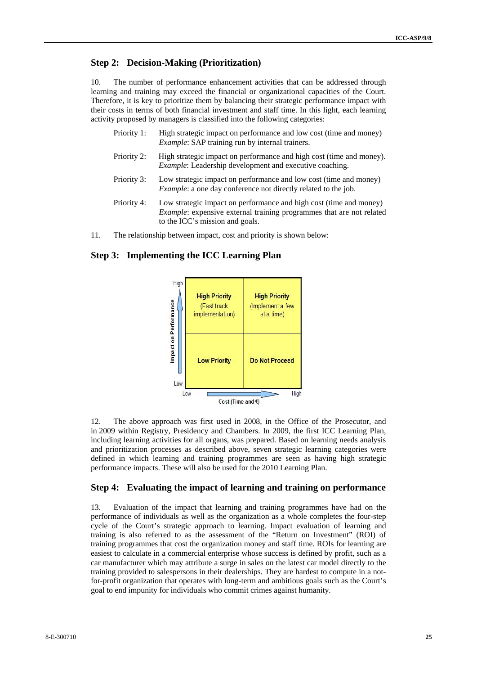## **Step 2: Decision-Making (Prioritization)**

10. The number of performance enhancement activities that can be addressed through learning and training may exceed the financial or organizational capacities of the Court. Therefore, it is key to prioritize them by balancing their strategic performance impact with their costs in terms of both financial investment and staff time. In this light, each learning activity proposed by managers is classified into the following categories:

- Priority 1: High strategic impact on performance and low cost (time and money) *Example*: SAP training run by internal trainers.
- Priority 2: High strategic impact on performance and high cost (time and money). *Example*: Leadership development and executive coaching.
- Priority 3: Low strategic impact on performance and low cost (time and money) *Example*: a one day conference not directly related to the job.
- Priority 4: Low strategic impact on performance and high cost (time and money) *Example*: expensive external training programmes that are not related to the ICC's mission and goals.
- 11. The relationship between impact, cost and priority is shown below:

## **Step 3: Implementing the ICC Learning Plan**



12. The above approach was first used in 2008, in the Office of the Prosecutor, and in 2009 within Registry, Presidency and Chambers. In 2009, the first ICC Learning Plan, including learning activities for all organs, was prepared. Based on learning needs analysis and prioritization processes as described above, seven strategic learning categories were defined in which learning and training programmes are seen as having high strategic performance impacts. These will also be used for the 2010 Learning Plan.

## **Step 4: Evaluating the impact of learning and training on performance**

13. Evaluation of the impact that learning and training programmes have had on the performance of individuals as well as the organization as a whole completes the four-step cycle of the Court's strategic approach to learning. Impact evaluation of learning and training is also referred to as the assessment of the "Return on Investment" (ROI) of training programmes that cost the organization money and staff time. ROIs for learning are easiest to calculate in a commercial enterprise whose success is defined by profit, such as a car manufacturer which may attribute a surge in sales on the latest car model directly to the training provided to salespersons in their dealerships. They are hardest to compute in a notfor-profit organization that operates with long-term and ambitious goals such as the Court's goal to end impunity for individuals who commit crimes against humanity.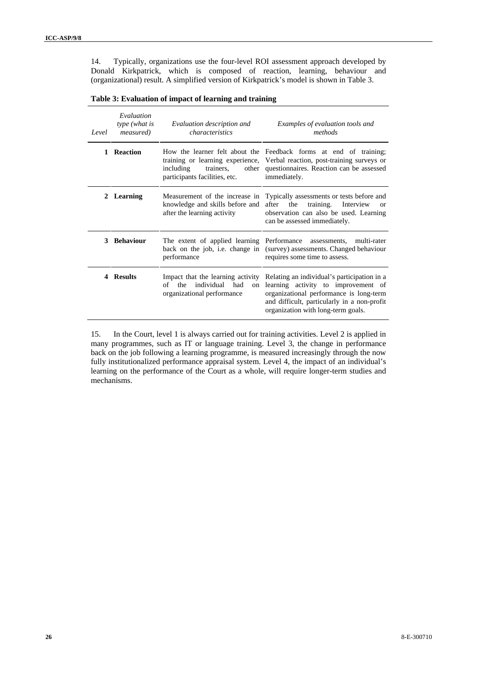14. Typically, organizations use the four-level ROI assessment approach developed by Donald Kirkpatrick, which is composed of reaction, learning, behaviour and (organizational) result. A simplified version of Kirkpatrick's model is shown in Table 3.

| Evaluation<br>type (what is<br><i>measured</i> )<br>Level |                 | Evaluation description and<br>characteristics                                                        | Examples of evaluation tools and<br>methods                                                                                                                                                                        |
|-----------------------------------------------------------|-----------------|------------------------------------------------------------------------------------------------------|--------------------------------------------------------------------------------------------------------------------------------------------------------------------------------------------------------------------|
| $\mathbf{1}$                                              | <b>Reaction</b> | trainers,<br>including<br>participants facilities, etc.                                              | How the learner felt about the Feedback forms at end of training;<br>training or learning experience, Verbal reaction, post-training surveys or<br>other questionnaires. Reaction can be assessed<br>immediately.  |
|                                                           | 2 Learning      | knowledge and skills before and<br>after the learning activity                                       | Measurement of the increase in Typically assessments or tests before and<br>after<br>training.<br>the<br>Interview<br>$\alpha$<br>observation can also be used. Learning<br>can be assessed immediately.           |
|                                                           | 3 Behaviour     | The extent of applied learning Performance assessments,<br>performance                               | multi-rater<br>back on the job, i.e. change in (survey) assessments. Changed behaviour<br>requires some time to assess.                                                                                            |
|                                                           | 4 Results       | Impact that the learning activity<br>individual had<br>the<br>of<br>on<br>organizational performance | Relating an individual's participation in a<br>learning activity to improvement of<br>organizational performance is long-term<br>and difficult, particularly in a non-profit<br>organization with long-term goals. |

15. In the Court, level 1 is always carried out for training activities. Level 2 is applied in many programmes, such as IT or language training. Level 3, the change in performance back on the job following a learning programme, is measured increasingly through the now fully institutionalized performance appraisal system. Level 4, the impact of an individual's learning on the performance of the Court as a whole, will require longer-term studies and mechanisms.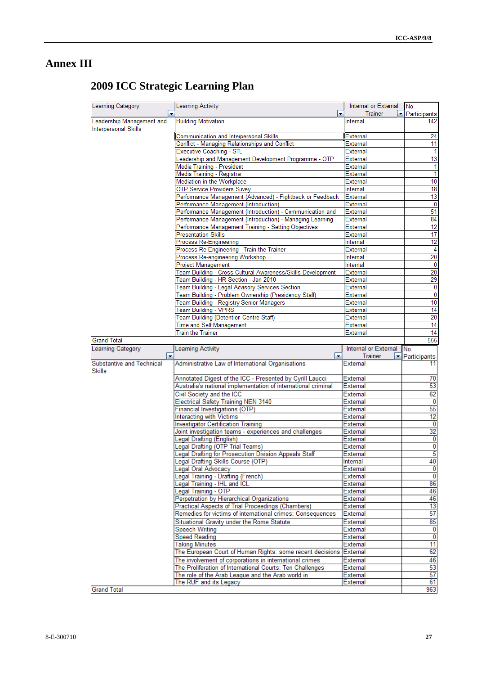# **Annex III**

| Learning Category                   | Learning Activity                                                                               | Internal or External | INo.                    |
|-------------------------------------|-------------------------------------------------------------------------------------------------|----------------------|-------------------------|
| $\cdot$                             | $\overline{\phantom{a}}$                                                                        | <b>Trainer</b>       | Participants            |
| Leadership Management and           | <b>Building Motivation</b>                                                                      | Internal             | 142                     |
| <b>Interpersonal Skills</b>         |                                                                                                 |                      |                         |
|                                     | Communication and Interpersonal Skills<br><b>Conflict - Managing Relationships and Conflict</b> | External             | 24                      |
|                                     |                                                                                                 | External<br>External | 11<br>1                 |
|                                     | Executive Coaching - STL<br>Leadership and Management Development Programme - OTP               | <b>External</b>      | 13                      |
|                                     | Media Training - President                                                                      | External             | $\mathbf{1}$            |
|                                     | Media Training - Registrar                                                                      | External             | 1                       |
|                                     | Mediation in the Workplace                                                                      | External             | 10                      |
|                                     | <b>OTP Service Providers Suvey</b>                                                              | Internal             | 18                      |
|                                     | Performance Management (Advanced) - Fightback or Feedback                                       | <b>External</b>      | 13                      |
|                                     | Performance Management (Introduction)                                                           | <b>External</b>      | 0                       |
|                                     | Performance Management (Introduction) - Communication and                                       | External             | 51                      |
|                                     | Performance Management (Introduction) - Managing Learning                                       | <b>External</b>      | 84                      |
|                                     | Performance Management Training - Setting Objectives                                            | <b>External</b>      | 12                      |
|                                     | <b>Presentation Skills</b>                                                                      | External             | 17                      |
|                                     | Process Re-Engineering                                                                          | Internal             | 12                      |
|                                     | Process Re-Engineering - Train the Trainer                                                      | External             | 4                       |
|                                     | Process Re-engineering Workshop                                                                 | Internal             | 20                      |
|                                     | <b>Project Management</b>                                                                       | Internal             | $\mathbf{0}$            |
|                                     | Team Building - Cross Cultural Awareness/Skills Development                                     | External             | 20                      |
|                                     | Team Building - HR Section - Jan 2010                                                           | External             | 29                      |
|                                     | Team Building - Legal Advisory Services Section                                                 | <b>External</b>      | $\pmb{0}$               |
|                                     | Team Building - Problem Ownership (Presidency Staff)                                            | External             | $\overline{\mathbf{0}}$ |
|                                     | Team Building - Registry Senior Managers                                                        | External             | 10                      |
|                                     | Team Building - VPRS                                                                            | External             | 14                      |
|                                     | Team Building (Detention Centre Staff)                                                          | External             | 20                      |
|                                     | Time and Self Management                                                                        | External             | 14                      |
|                                     | <b>Train the Trainer</b>                                                                        | External             | 14                      |
| <b>Grand Total</b>                  |                                                                                                 |                      | 555                     |
| <b>Learning Category</b>            | Learning Activity                                                                               | Internal or External | No.                     |
| $\overline{\phantom{a}}$            | $\overline{\phantom{a}}$                                                                        | Trainer<br>×         | Participants            |
| Substantive and Technical<br>Skills | Administrative Law of International Organisations                                               | External             | 11                      |
|                                     | Annotated Digest of the ICC - Presented by Cyrill Laucci                                        | External             | 70                      |
|                                     | Australia's national implementation of international criminal                                   | External             | 53                      |
|                                     | Civil Society and the ICC                                                                       | External             | 62                      |
|                                     | <b>Electrical Safety Training NEN 3140</b>                                                      | External             | ō                       |
|                                     | Financial Investigations (OTP)                                                                  | External             | 55                      |
|                                     | Interacting with Victims                                                                        | External             | 12                      |
|                                     | <b>Investigator Certification Training</b>                                                      | External             | 0                       |
|                                     | Joint investigation teams - experiences and challenges                                          | External             | 32                      |
|                                     | Legal Drafting (English)                                                                        | External             | 0                       |
|                                     | Legal Drafting (OTP Trial Teams)                                                                | External             | $\overline{\mathbf{0}}$ |
|                                     | Legal Drafting for Prosecution Division Appeals Staff                                           | External             | 5                       |
|                                     | Legal Drafting Skills Course (OTP)                                                              | Internal             | 40                      |
|                                     | Legal Oral Advocacy                                                                             | External             | 0                       |
|                                     | Legal Training - Drafting (French)                                                              | External             | $\overline{\mathbf{0}}$ |
|                                     | Legal Training - IHL and ICL                                                                    | External             | 86                      |
|                                     | Legal Training - OTP                                                                            | <b>External</b>      | 46                      |
|                                     | Perpetration by Hierarchical Organizations                                                      | External             | 46                      |
|                                     | Practical Aspects of Trial Proceedings (Chambers)                                               | External             | 13                      |
|                                     | Remedies for victims of international crimes: Consequences                                      | External             | 57                      |
|                                     | Situational Gravity under the Rome Statute                                                      | External             | 85                      |
|                                     | Speech Writing                                                                                  | External             | 0                       |
|                                     | <b>Speed Reading</b>                                                                            | External             | $\overline{0}$          |
|                                     | <b>Taking Minutes</b>                                                                           | External             | 11                      |
|                                     | The European Court of Human Rights: some recent decisions External                              |                      | 62                      |
|                                     | The involvement of corporations in international crimes                                         | External             | 46                      |
|                                     | The Proliferation of International Courts: Ten Challenges                                       | External             | 53                      |
|                                     | The role of the Arab League and the Arab world in                                               | External             | 57                      |
|                                     | The RUF and its Legacy                                                                          | <b>External</b>      | 61                      |
| <b>Grand Total</b>                  |                                                                                                 |                      | 963                     |

# **2009 ICC Strategic Learning Plan**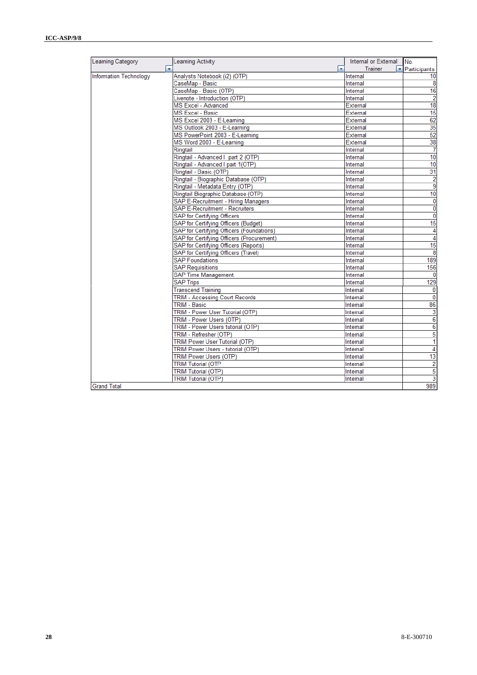| Learning Category             | Learning Activity                         | Internal or External | INo.                    |
|-------------------------------|-------------------------------------------|----------------------|-------------------------|
| $\overline{\phantom{0}}$      | $\overline{\phantom{0}}$                  | Trainer              | Participants            |
| <b>Information Technology</b> | Analysts Notebook (i2) (OTP)              | Internal             | 10                      |
|                               | CaseMap - Basic                           | Internal             | 8                       |
|                               | CaseMap - Basic (OTP)                     | Internal             | 16                      |
|                               | Livenote - Introduction (OTP)             | Internal             | $\overline{2}$          |
|                               | MS Excel - Advanced                       | External             | 18                      |
|                               | <b>MS Excel - Basic</b>                   | External             | 15                      |
|                               | MS Excel 2003 - E-Learning                | External             | 62                      |
|                               | MS Outlook 2003 - E-Learning              | External             | 35                      |
|                               | MS PowerPoint 2003 - E-Learning           | External             | 52                      |
|                               | MS Word 2003 - E-Learning                 | External             | 38                      |
|                               | Ringtail                                  | Internal             | $\overline{7}$          |
|                               | Ringtail - Advanced I part 2 (OTP)        | Internal             | 10                      |
|                               | Ringtail - Advanced I part 1(OTP)         | Internal             | 10                      |
|                               | Ringtail - Basic (OTP)                    | Internal             | 31                      |
|                               | Ringtail - Biographic Database (OTP)      | Internal             | $\overline{2}$          |
|                               | Ringtail - Metadata Entry (OTP)           | Internal             | $\overline{9}$          |
|                               | Ringtail Biographic Database (OTP)        | Internal             | 10                      |
|                               | SAP E-Recruitment - Hiring Managers       | Internal             | $\bf{0}$                |
|                               | SAP E-Recruitment - Recruiters            | Internal             | $\bf{0}$                |
|                               | SAP for Certifying Officers               | Internal             | $\overline{0}$          |
|                               | SAP for Certifying Officers (Budget)      | Internal             | 15                      |
|                               | SAP for Certifying Officers (Foundations) | Internal             | 4                       |
|                               | SAP for Certifying Officers (Procurement) | Internal             | 4                       |
|                               | SAP for Certifying Officers (Reports)     | Internal             | 15                      |
|                               | SAP for Certifying Officers (Travel)      | Internal             | $\overline{8}$          |
|                               | <b>SAP Foundations</b>                    | Internal             | 189                     |
|                               | <b>SAP Requisitions</b>                   | Internal             | 156                     |
|                               | <b>SAP Time Management</b>                | Internal             | $\bf{0}$                |
|                               | <b>SAP Trips</b>                          | Internal             | 129                     |
|                               | <b>Transcend Training</b>                 | Internal             | $\bf{0}$                |
|                               | TRIM - Accessing Court Records            | Internal             | $\overline{0}$          |
|                               | TRIM - Basic                              | Internal             | 86                      |
|                               | TRIM - Power User Tutorial (OTP)          | Internal             | 3                       |
|                               | TRIM - Power Users (OTP)                  | Internal             | $6\overline{6}$         |
|                               | TRIM - Power Users tutorial (OTP)         | Internal             | 6                       |
|                               | TRIM - Refresher (OTP)                    | Internal             | 5                       |
|                               | TRIM Power User Tutorial (OTP)            | Internal             | $\overline{1}$          |
|                               | TRIM Power Users - tutorial (OTP)         | Internal             | $\overline{4}$          |
|                               | TRIM Power Users (OTP)                    | Internal             | 13                      |
|                               | <b>TRIM Tutorial (OTP</b>                 | Internal             | $\overline{2}$          |
|                               | <b>TRIM Tutorial (OTP)</b>                | Internal             | 5                       |
|                               | <b>TRIM Tutorial (OTP)</b>                | Internal             | $\overline{\mathbf{3}}$ |
| <b>Grand Total</b>            |                                           |                      | 989                     |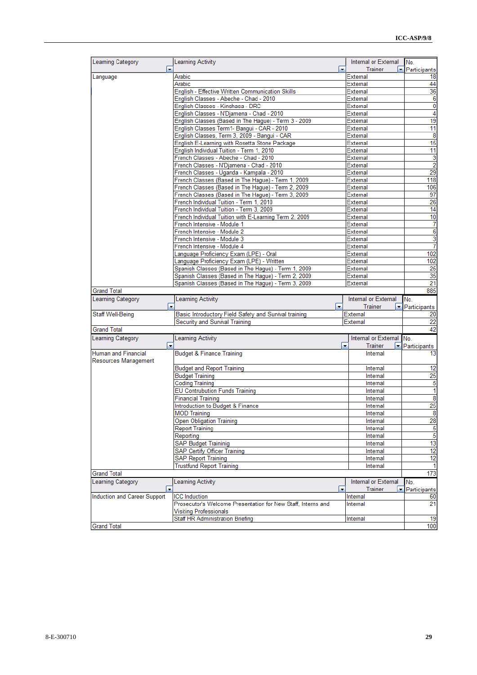| Learning Category            | Learning Activity                                                                                | Internal or External                | No.                                                  |
|------------------------------|--------------------------------------------------------------------------------------------------|-------------------------------------|------------------------------------------------------|
| $\overline{\phantom{a}}$     |                                                                                                  | $\overline{\phantom{a}}$<br>Trainer | Participants                                         |
| Language                     | Arabic                                                                                           | External                            | 18                                                   |
|                              | Arabic                                                                                           | External                            | 44                                                   |
|                              | English - Effective Written Communication Skills                                                 | External                            | 36                                                   |
|                              | English Classes - Abeche - Chad - 2010                                                           | External                            | 6                                                    |
|                              | English Classes - Kinshasa - DRC                                                                 | External                            | 0                                                    |
|                              | English Classes - N'Djamena - Chad - 2010                                                        | External                            | 4                                                    |
|                              | English Classes (Based in The Hague) - Term 3 - 2009                                             | External                            | 19                                                   |
|                              | English Classes Term1- Bangui - CAR - 2010                                                       | External                            | 11                                                   |
|                              | English Classes, Term 3, 2009 - Bangui - CAR                                                     | External                            | 8                                                    |
|                              | English E-Learning with Rosetta Stone Package                                                    | External                            | 15                                                   |
|                              |                                                                                                  |                                     |                                                      |
|                              | English Individual Tuition - Term 1, 2010                                                        | External                            | 11                                                   |
|                              | French Classes - Abeche - Chad - 2010                                                            | <b>External</b>                     | 3                                                    |
|                              | French Classes - N'Djamena - Chad - 2010                                                         | External                            | $\overline{2}$                                       |
|                              | French Classes - Uganda - Kampala - 2010                                                         | External                            | 29                                                   |
|                              | French Classes (Based in The Hague) - Term 1, 2009                                               | External                            | 118                                                  |
|                              | French Classes (Based in The Hague) - Term 2, 2009                                               | External                            | 106                                                  |
|                              | French Classes (Based in The Hague) - Term 3, 2009                                               | External                            | 97                                                   |
|                              | French Individual Tuition - Term 1, 2010                                                         | External                            | 26                                                   |
|                              | French Individual Tuition - Term 3, 2009                                                         | <b>External</b>                     | 14                                                   |
|                              | French Individual Tuition with E-Learning Term 2, 2009                                           | External                            | 10                                                   |
|                              | French Intensive - Module 1                                                                      | External                            | 7                                                    |
|                              | French Intensive - Module 2                                                                      | <b>External</b>                     | 6                                                    |
|                              | French Intensive - Module 3                                                                      | <b>External</b>                     | 3                                                    |
|                              | French Intensive - Module 4                                                                      | External                            | 7                                                    |
|                              | Language Proficiency Exam (LPE) - Oral                                                           | External                            | 102                                                  |
|                              |                                                                                                  | External                            | 102                                                  |
|                              | Language Proficiency Exam (LPE) - Written<br>Spanish Classes (Based in The Hague) - Term 1, 2009 |                                     |                                                      |
|                              |                                                                                                  | External                            | 25                                                   |
|                              | Spanish Classes (Based in The Hague) - Term 2, 2009                                              | External                            | 35                                                   |
|                              | Spanish Classes (Based in The Hague) - Term 3, 2009                                              | External                            | 21                                                   |
| <b>Grand Total</b>           |                                                                                                  |                                     | 885                                                  |
|                              |                                                                                                  |                                     |                                                      |
| Learning Category            | Learning Activity                                                                                | Internal or External                | No.                                                  |
| ۰                            | $\blacktriangledown$                                                                             | Trainer<br>٠                        |                                                      |
| Staff Well-Being             |                                                                                                  | External                            |                                                      |
|                              | Basic Introductory Field Safety and Survival training<br>Security and Survival Training          | External                            | Participants<br>20<br>22                             |
| <b>Grand Total</b>           |                                                                                                  |                                     |                                                      |
|                              |                                                                                                  |                                     |                                                      |
| Learning Category            | Learning Activity                                                                                | Internal or External No.            |                                                      |
| ۰                            |                                                                                                  | $\overline{\phantom{a}}$<br>Trainer | Participants                                         |
| <b>Human and Financial</b>   | <b>Budget &amp; Finance Training</b>                                                             | Internal                            |                                                      |
| Resources Management         |                                                                                                  |                                     |                                                      |
|                              | <b>Budget and Report Training</b>                                                                | Internal                            |                                                      |
|                              | <b>Budget Training</b>                                                                           | Internal                            |                                                      |
|                              | <b>Coding Training</b>                                                                           | Internal                            |                                                      |
|                              | <b>EU Contrubution Funds Training</b>                                                            | Internal                            |                                                      |
|                              | <b>Financial Training</b>                                                                        | Internal                            |                                                      |
|                              | Introduction to Budget & Finance                                                                 | Internal                            |                                                      |
|                              |                                                                                                  |                                     |                                                      |
|                              | <b>MOD Training</b>                                                                              | Internal                            |                                                      |
|                              | <b>Open Obligation Training</b>                                                                  | Internal                            | 42<br>13<br>12<br>25<br>5<br>1<br>8<br>25<br>8<br>28 |
|                              | <b>Report Training</b>                                                                           | Internal                            |                                                      |
|                              | Reporting                                                                                        | Internal                            |                                                      |
|                              | SAP Budget Traininig                                                                             | Internal                            |                                                      |
|                              | SAP Certify Officer Training                                                                     | Internal                            |                                                      |
|                              | <b>SAP Report Training</b>                                                                       | Internal                            |                                                      |
|                              | <b>Trustfund Report Training</b>                                                                 | Internal                            |                                                      |
| <b>Grand Total</b>           |                                                                                                  |                                     | 5<br>$\overline{5}$<br>13<br>12<br>12<br>1<br>173    |
| <b>Learning Category</b>     | <b>Learning Activity</b>                                                                         | Internal or External                | No.                                                  |
|                              |                                                                                                  | Trainer<br>$\overline{\phantom{a}}$ | Participants<br>×.                                   |
|                              | <b>ICC</b> Induction                                                                             | Internal                            | 60                                                   |
| Induction and Career Support | Prosecutor's Welcome Presentation for New Staff, Interns and                                     | Internal                            | 21                                                   |
|                              | <b>Visiting Professionals</b>                                                                    |                                     |                                                      |
|                              | Staff HR Administration Briefing                                                                 | Internal                            | 19                                                   |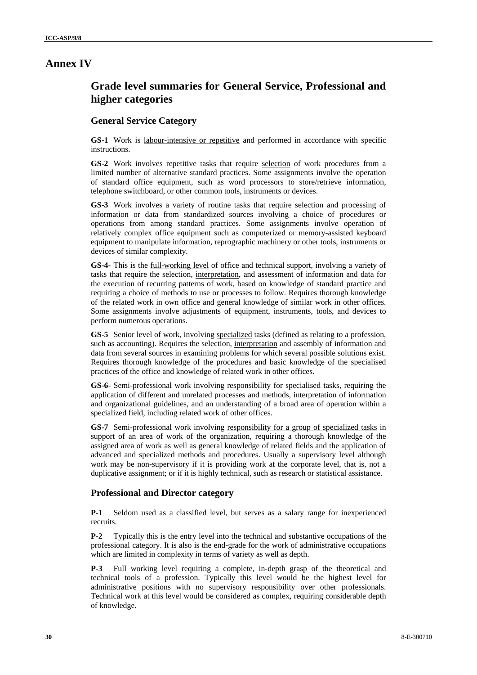# **Annex IV**

# **Grade level summaries for General Service, Professional and higher categories**

## **General Service Category**

GS-1 Work is labour-intensive or repetitive and performed in accordance with specific instructions.

**GS-2** Work involves repetitive tasks that require selection of work procedures from a limited number of alternative standard practices. Some assignments involve the operation of standard office equipment, such as word processors to store/retrieve information, telephone switchboard, or other common tools, instruments or devices.

**GS-3** Work involves a variety of routine tasks that require selection and processing of information or data from standardized sources involving a choice of procedures or operations from among standard practices. Some assignments involve operation of relatively complex office equipment such as computerized or memory-assisted keyboard equipment to manipulate information, reprographic machinery or other tools, instruments or devices of similar complexity.

**GS-4**- This is the full-working level of office and technical support, involving a variety of tasks that require the selection, interpretation, and assessment of information and data for the execution of recurring patterns of work, based on knowledge of standard practice and requiring a choice of methods to use or processes to follow. Requires thorough knowledge of the related work in own office and general knowledge of similar work in other offices. Some assignments involve adjustments of equipment, instruments, tools, and devices to perform numerous operations.

**GS-5** Senior level of work, involving specialized tasks (defined as relating to a profession, such as accounting). Requires the selection, interpretation and assembly of information and data from several sources in examining problems for which several possible solutions exist. Requires thorough knowledge of the procedures and basic knowledge of the specialised practices of the office and knowledge of related work in other offices.

**GS-6**- Semi-professional work involving responsibility for specialised tasks, requiring the application of different and unrelated processes and methods, interpretation of information and organizational guidelines, and an understanding of a broad area of operation within a specialized field, including related work of other offices.

**GS-7** Semi-professional work involving responsibility for a group of specialized tasks in support of an area of work of the organization, requiring a thorough knowledge of the assigned area of work as well as general knowledge of related fields and the application of advanced and specialized methods and procedures. Usually a supervisory level although work may be non-supervisory if it is providing work at the corporate level, that is, not a duplicative assignment; or if it is highly technical, such as research or statistical assistance.

## **Professional and Director category**

**P-1** Seldom used as a classified level, but serves as a salary range for inexperienced recruits.

**P-2** Typically this is the entry level into the technical and substantive occupations of the professional category. It is also is the end-grade for the work of administrative occupations which are limited in complexity in terms of variety as well as depth.

**P-3** Full working level requiring a complete, in-depth grasp of the theoretical and technical tools of a profession. Typically this level would be the highest level for administrative positions with no supervisory responsibility over other professionals. Technical work at this level would be considered as complex, requiring considerable depth of knowledge.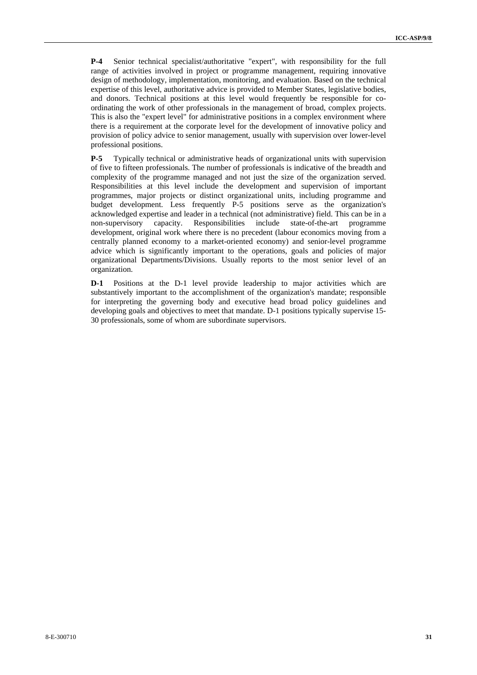**P-4** Senior technical specialist/authoritative "expert", with responsibility for the full range of activities involved in project or programme management, requiring innovative design of methodology, implementation, monitoring, and evaluation. Based on the technical expertise of this level, authoritative advice is provided to Member States, legislative bodies, and donors. Technical positions at this level would frequently be responsible for coordinating the work of other professionals in the management of broad, complex projects. This is also the "expert level" for administrative positions in a complex environment where there is a requirement at the corporate level for the development of innovative policy and provision of policy advice to senior management, usually with supervision over lower-level professional positions.

**P-5** Typically technical or administrative heads of organizational units with supervision of five to fifteen professionals. The number of professionals is indicative of the breadth and complexity of the programme managed and not just the size of the organization served. Responsibilities at this level include the development and supervision of important programmes, major projects or distinct organizational units, including programme and budget development. Less frequently P-5 positions serve as the organization's acknowledged expertise and leader in a technical (not administrative) field. This can be in a non-supervisory capacity. Responsibilities include state-of-the-art programme development, original work where there is no precedent (labour economics moving from a centrally planned economy to a market-oriented economy) and senior-level programme advice which is significantly important to the operations, goals and policies of major organizational Departments/Divisions. Usually reports to the most senior level of an organization.

**D-1** Positions at the D-1 level provide leadership to major activities which are substantively important to the accomplishment of the organization's mandate; responsible for interpreting the governing body and executive head broad policy guidelines and developing goals and objectives to meet that mandate. D-1 positions typically supervise 15- 30 professionals, some of whom are subordinate supervisors.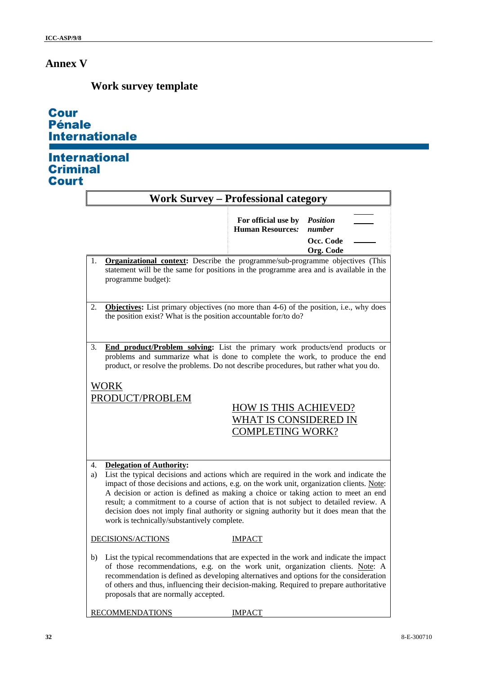# **Annex V**

# **Work survey template**

| <b>Cour</b>           |
|-----------------------|
| <b>Pénale</b>         |
| <b>Internationale</b> |

# International<br>Criminal **Court**

| <b>Work Survey - Professional category</b>                                                                                                                                                                                                                                                                                                                                                                                                                                                                                                                |                                                                                                                                                                                                                                                                                                                                                                                                         |                                                                                         |                                                     |
|-----------------------------------------------------------------------------------------------------------------------------------------------------------------------------------------------------------------------------------------------------------------------------------------------------------------------------------------------------------------------------------------------------------------------------------------------------------------------------------------------------------------------------------------------------------|---------------------------------------------------------------------------------------------------------------------------------------------------------------------------------------------------------------------------------------------------------------------------------------------------------------------------------------------------------------------------------------------------------|-----------------------------------------------------------------------------------------|-----------------------------------------------------|
|                                                                                                                                                                                                                                                                                                                                                                                                                                                                                                                                                           |                                                                                                                                                                                                                                                                                                                                                                                                         | For official use by<br><b>Human Resources:</b>                                          | <b>Position</b><br>number<br>Occ. Code<br>Org. Code |
| 1.                                                                                                                                                                                                                                                                                                                                                                                                                                                                                                                                                        | <b>Organizational context:</b> Describe the programme/sub-programme objectives (This<br>statement will be the same for positions in the programme area and is available in the<br>programme budget):                                                                                                                                                                                                    |                                                                                         |                                                     |
| 2.                                                                                                                                                                                                                                                                                                                                                                                                                                                                                                                                                        | Objectives: List primary objectives (no more than 4-6) of the position, i.e., why does<br>the position exist? What is the position accountable for/to do?                                                                                                                                                                                                                                               |                                                                                         |                                                     |
| 3.                                                                                                                                                                                                                                                                                                                                                                                                                                                                                                                                                        | End product/Problem solving: List the primary work products/end products or<br>problems and summarize what is done to complete the work, to produce the end<br>product, or resolve the problems. Do not describe procedures, but rather what you do.                                                                                                                                                    |                                                                                         |                                                     |
| <b>WORK</b>                                                                                                                                                                                                                                                                                                                                                                                                                                                                                                                                               | PRODUCT/PROBLEM                                                                                                                                                                                                                                                                                                                                                                                         | <b>HOW IS THIS ACHIEVED?</b><br><b>WHAT IS CONSIDERED IN</b><br><b>COMPLETING WORK?</b> |                                                     |
| <b>Delegation of Authority:</b><br>4.<br>List the typical decisions and actions which are required in the work and indicate the<br>a)<br>impact of those decisions and actions, e.g. on the work unit, organization clients. Note:<br>A decision or action is defined as making a choice or taking action to meet an end<br>result; a commitment to a course of action that is not subject to detailed review. A<br>decision does not imply final authority or signing authority but it does mean that the<br>work is technically/substantively complete. |                                                                                                                                                                                                                                                                                                                                                                                                         |                                                                                         |                                                     |
|                                                                                                                                                                                                                                                                                                                                                                                                                                                                                                                                                           | DECISIONS/ACTIONS                                                                                                                                                                                                                                                                                                                                                                                       | <b>IMPACT</b>                                                                           |                                                     |
| b)                                                                                                                                                                                                                                                                                                                                                                                                                                                                                                                                                        | List the typical recommendations that are expected in the work and indicate the impact<br>of those recommendations, e.g. on the work unit, organization clients. Note: A<br>recommendation is defined as developing alternatives and options for the consideration<br>of others and thus, influencing their decision-making. Required to prepare authoritative<br>proposals that are normally accepted. |                                                                                         |                                                     |

RECOMMENDATIONS **IMPACT**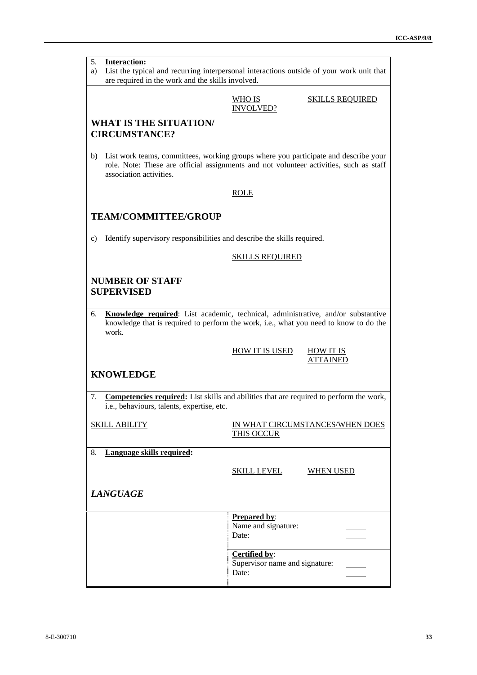| 5.<br><b>Interaction:</b><br>List the typical and recurring interpersonal interactions outside of your work unit that<br>a)<br>are required in the work and the skills involved. |                                                                                                                                                                               |  |
|----------------------------------------------------------------------------------------------------------------------------------------------------------------------------------|-------------------------------------------------------------------------------------------------------------------------------------------------------------------------------|--|
|                                                                                                                                                                                  |                                                                                                                                                                               |  |
|                                                                                                                                                                                  | WHO IS<br><b>SKILLS REQUIRED</b><br><b>INVOLVED?</b>                                                                                                                          |  |
| <b>WHAT IS THE SITUATION/</b>                                                                                                                                                    |                                                                                                                                                                               |  |
| <b>CIRCUMSTANCE?</b>                                                                                                                                                             |                                                                                                                                                                               |  |
|                                                                                                                                                                                  |                                                                                                                                                                               |  |
| b)<br>association activities.                                                                                                                                                    | List work teams, committees, working groups where you participate and describe your<br>role. Note: These are official assignments and not volunteer activities, such as staff |  |
|                                                                                                                                                                                  | <b>ROLE</b>                                                                                                                                                                   |  |
|                                                                                                                                                                                  |                                                                                                                                                                               |  |
| <b>TEAM/COMMITTEE/GROUP</b>                                                                                                                                                      |                                                                                                                                                                               |  |
|                                                                                                                                                                                  |                                                                                                                                                                               |  |
| Identify supervisory responsibilities and describe the skills required.<br>c)                                                                                                    |                                                                                                                                                                               |  |
|                                                                                                                                                                                  | <b>SKILLS REQUIRED</b>                                                                                                                                                        |  |
|                                                                                                                                                                                  |                                                                                                                                                                               |  |
| <b>NUMBER OF STAFF</b>                                                                                                                                                           |                                                                                                                                                                               |  |
| <b>SUPERVISED</b>                                                                                                                                                                |                                                                                                                                                                               |  |
|                                                                                                                                                                                  |                                                                                                                                                                               |  |
| 6.                                                                                                                                                                               | Knowledge required: List academic, technical, administrative, and/or substantive<br>knowledge that is required to perform the work, i.e., what you need to know to do the     |  |
| work.                                                                                                                                                                            |                                                                                                                                                                               |  |
|                                                                                                                                                                                  |                                                                                                                                                                               |  |
|                                                                                                                                                                                  | <b>HOW IT IS USED</b><br><b>HOW IT IS</b><br><b>ATTAINED</b>                                                                                                                  |  |
|                                                                                                                                                                                  |                                                                                                                                                                               |  |
| <b>KNOWLEDGE</b>                                                                                                                                                                 |                                                                                                                                                                               |  |
| 7.                                                                                                                                                                               | <b>Competencies required:</b> List skills and abilities that are required to perform the work,                                                                                |  |
| i.e., behaviours, talents, expertise, etc.                                                                                                                                       |                                                                                                                                                                               |  |
|                                                                                                                                                                                  |                                                                                                                                                                               |  |
| <u>SKILL ABILITY</u>                                                                                                                                                             | IN WHAT CIRCUMSTANCES/WHEN DOES<br><b>THIS OCCUR</b>                                                                                                                          |  |
|                                                                                                                                                                                  |                                                                                                                                                                               |  |
| Language skills required:<br>8.                                                                                                                                                  |                                                                                                                                                                               |  |
|                                                                                                                                                                                  | <u>SKILL LEVEL</u><br>WHEN USED                                                                                                                                               |  |
|                                                                                                                                                                                  |                                                                                                                                                                               |  |
| <b>LANGUAGE</b>                                                                                                                                                                  |                                                                                                                                                                               |  |
|                                                                                                                                                                                  |                                                                                                                                                                               |  |
|                                                                                                                                                                                  | <b>Prepared by:</b>                                                                                                                                                           |  |
|                                                                                                                                                                                  | Name and signature:                                                                                                                                                           |  |
|                                                                                                                                                                                  | Date:                                                                                                                                                                         |  |
|                                                                                                                                                                                  | Certified by:                                                                                                                                                                 |  |
|                                                                                                                                                                                  | Supervisor name and signature:<br>Date:                                                                                                                                       |  |
|                                                                                                                                                                                  |                                                                                                                                                                               |  |